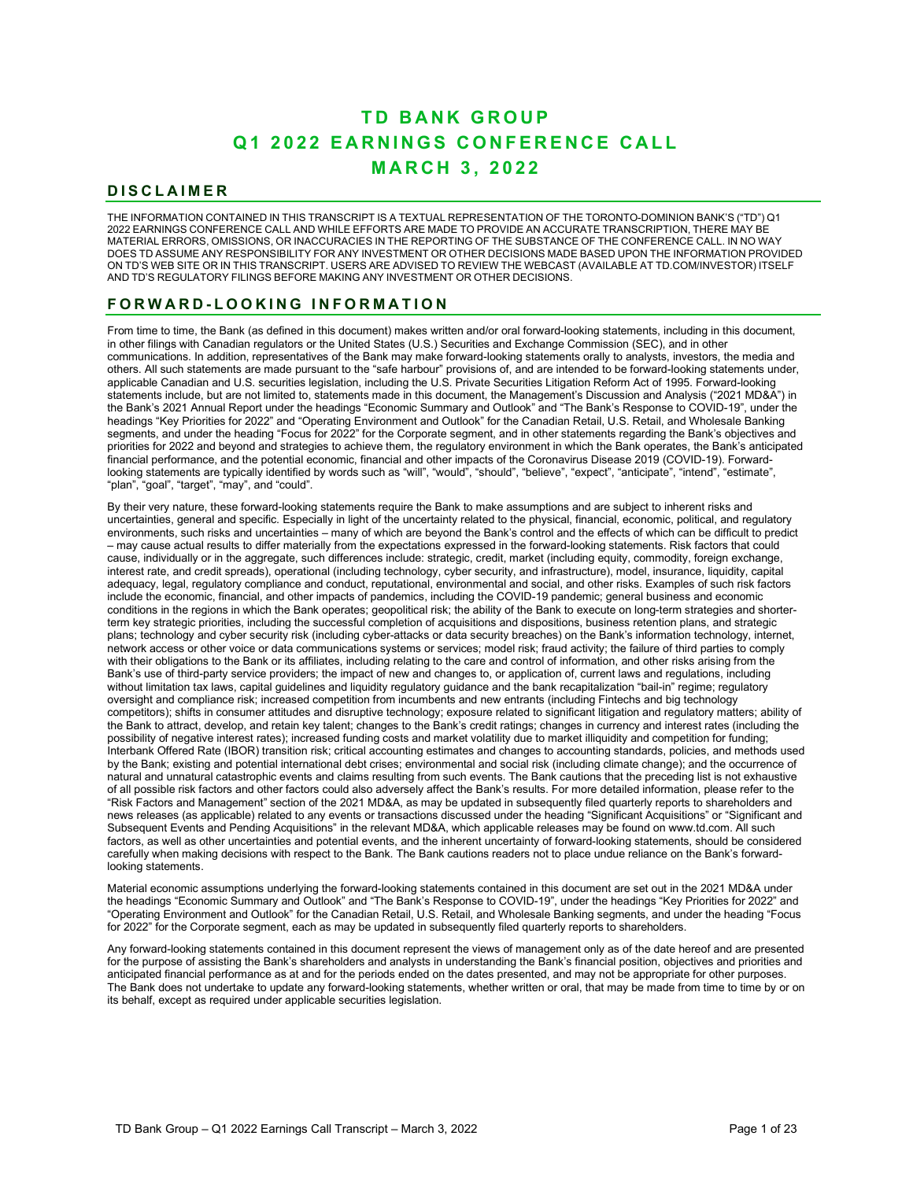# **Q 1 2 0 2 2 EARNINGS CONFERENCE CALL MARCH 3 , 2 0 2 2 TD BANK GROUP**

# **DISCLAIMER**

THE INFORMATION CONTAINED IN THIS TRANSCRIPT IS A TEXTUAL REPRESENTATION OF THE TORONTO-DOMINION BANK'S ("TD") Q1 2022 EARNINGS CONFERENCE CALL AND WHILE EFFORTS ARE MADE TO PROVIDE AN ACCURATE TRANSCRIPTION, THERE MAY BE MATERIAL ERRORS, OMISSIONS, OR INACCURACIES IN THE REPORTING OF THE SUBSTANCE OF THE CONFERENCE CALL. IN NO WAY DOES TD ASSUME ANY RESPONSIBILITY FOR ANY INVESTMENT OR OTHER DECISIONS MADE BASED UPON THE INFORMATION PROVIDED ON TD'S WEB SITE OR IN THIS TRANSCRIPT. USERS ARE ADVISED TO REVIEW THE WEBCAST (AVAILABLE AT TD.COM/INVESTOR) ITSELF AND TD'S REGULATORY FILINGS BEFORE MAKING ANY INVESTMENT OR OTHER DECISIONS.

# **FORWARD - LOOKING INFORMATION**

From time to time, the Bank (as defined in this document) makes written and/or oral forward-looking statements, including in this document, in other filings with Canadian regulators or the United States (U.S.) Securities and Exchange Commission (SEC), and in other communications. In addition, representatives of the Bank may make forward-looking statements orally to analysts, investors, the media and others. All such statements are made pursuant to the "safe harbour" provisions of, and are intended to be forward-looking statements under, applicable Canadian and U.S. securities legislation, including the U.S. Private Securities Litigation Reform Act of 1995. Forward-looking statements include, but are not limited to, statements made in this document, the Management's Discussion and Analysis ("2021 MD&A") in the Bank's 2021 Annual Report under the headings "Economic Summary and Outlook" and "The Bank's Response to COVID-19", under the headings "Key Priorities for 2022" and "Operating Environment and Outlook" for the Canadian Retail, U.S. Retail, and Wholesale Banking segments, and under the heading "Focus for 2022" for the Corporate segment, and in other statements regarding the Bank's objectives and priorities for 2022 and beyond and strategies to achieve them, the regulatory environment in which the Bank operates, the Bank's anticipated financial performance, and the potential economic, financial and other impacts of the Coronavirus Disease 2019 (COVID-19). Forwardlooking statements are typically identified by words such as "will", "would", "should", "believe", "expect", "anticipate", "intend", "estimate", "plan", "goal", "target", "may", and "could".

- conditions in the regions in which the Bank operates; geopolitical risk; the ability of the Bank to execute on long-term strategies and shorter carefully when making decisions with respect to the Bank. The Bank cautions readers not to place undue reliance on the Bank's forward-By their very nature, these forward-looking statements require the Bank to make assumptions and are subject to inherent risks and uncertainties, general and specific. Especially in light of the uncertainty related to the physical, financial, economic, political, and regulatory environments, such risks and uncertainties – many of which are beyond the Bank's control and the effects of which can be difficult to predict – may cause actual results to differ materially from the expectations expressed in the forward-looking statements. Risk factors that could cause, individually or in the aggregate, such differences include: strategic, credit, market (including equity, commodity, foreign exchange, interest rate, and credit spreads), operational (including technology, cyber security, and infrastructure), model, insurance, liquidity, capital adequacy, legal, regulatory compliance and conduct, reputational, environmental and social, and other risks. Examples of such risk factors include the economic, financial, and other impacts of pandemics, including the COVID-19 pandemic; general business and economic term key strategic priorities, including the successful completion of acquisitions and dispositions, business retention plans, and strategic plans; technology and cyber security risk (including cyber-attacks or data security breaches) on the Bank's information technology, internet, network access or other voice or data communications systems or services; model risk; fraud activity; the failure of third parties to comply with their obligations to the Bank or its affiliates, including relating to the care and control of information, and other risks arising from the Bank's use of third-party service providers; the impact of new and changes to, or application of, current laws and regulations, including without limitation tax laws, capital guidelines and liquidity regulatory guidance and the bank recapitalization "bail-in" regime; regulatory oversight and compliance risk; increased competition from incumbents and new entrants (including Fintechs and big technology competitors); shifts in consumer attitudes and disruptive technology; exposure related to significant litigation and regulatory matters; ability of the Bank to attract, develop, and retain key talent; changes to the Bank's credit ratings; changes in currency and interest rates (including the possibility of negative interest rates); increased funding costs and market volatility due to market illiquidity and competition for funding; Interbank Offered Rate (IBOR) transition risk; critical accounting estimates and changes to accounting standards, policies, and methods used by the Bank; existing and potential international debt crises; environmental and social risk (including climate change); and the occurrence of natural and unnatural catastrophic events and claims resulting from such events. The Bank cautions that the preceding list is not exhaustive of all possible risk factors and other factors could also adversely affect the Bank's results. For more detailed information, please refer to the "Risk Factors and Management" section of the 2021 MD&A, as may be updated in subsequently filed quarterly reports to shareholders and news releases (as applicable) related to any events or transactions discussed under the heading "Significant Acquisitions" or "Significant and Subsequent Events and Pending Acquisitions" in the relevant MD&A, which applicable releases may be found on www.td.com. All such factors, as well as other uncertainties and potential events, and the inherent uncertainty of forward-looking statements, should be considered looking statements.

Material economic assumptions underlying the forward-looking statements contained in this document are set out in the 2021 MD&A under the headings "Economic Summary and Outlook" and "The Bank's Response to COVID-19", under the headings "Key Priorities for 2022" and "Operating Environment and Outlook" for the Canadian Retail, U.S. Retail, and Wholesale Banking segments, and under the heading "Focus for 2022" for the Corporate segment, each as may be updated in subsequently filed quarterly reports to shareholders.

Any forward-looking statements contained in this document represent the views of management only as of the date hereof and are presented for the purpose of assisting the Bank's shareholders and analysts in understanding the Bank's financial position, objectives and priorities and anticipated financial performance as at and for the periods ended on the dates presented, and may not be appropriate for other purposes. The Bank does not undertake to update any forward-looking statements, whether written or oral, that may be made from time to time by or on its behalf, except as required under applicable securities legislation.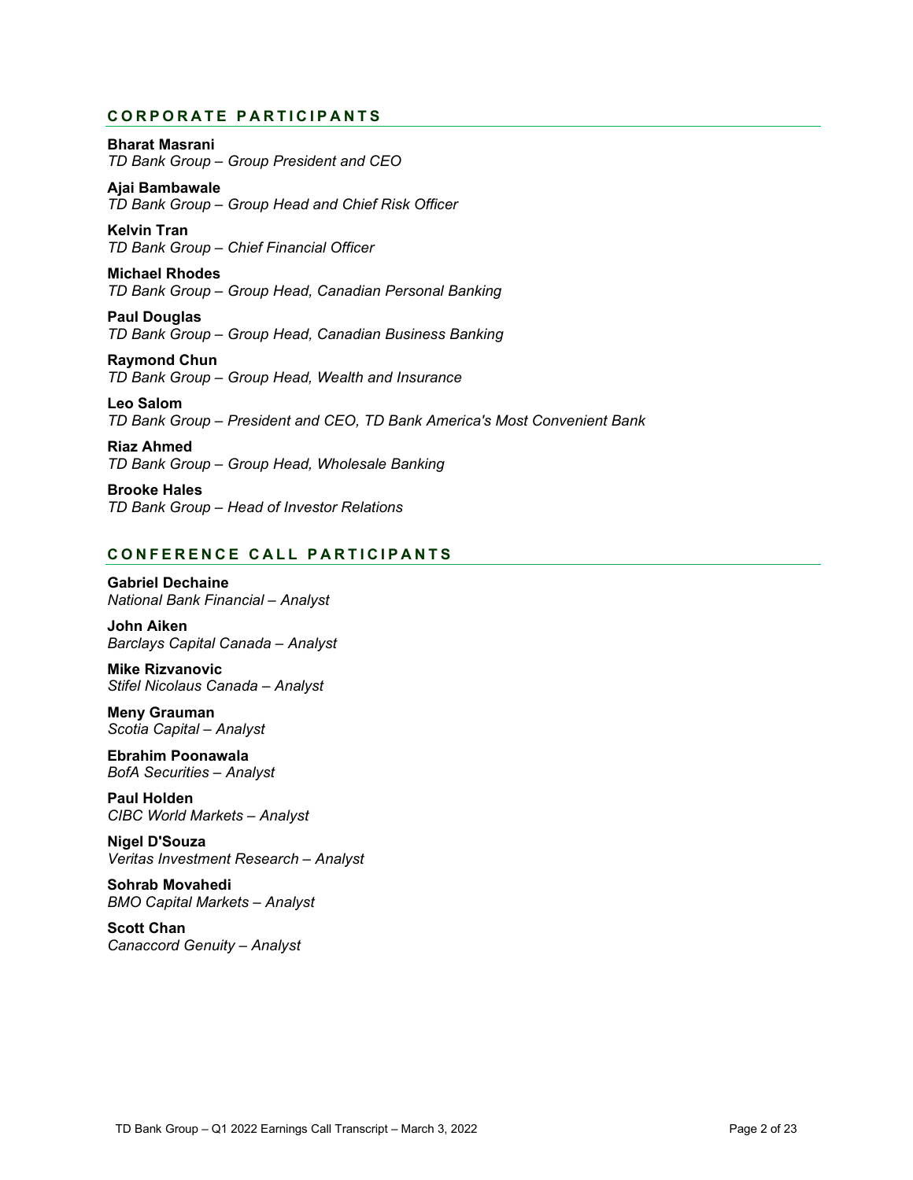# **CORPORATE PARTICIPANTS**

# **Bharat Masrani**

*TD Bank Group – Group President and CEO*

**Ajai Bambawale** *TD Bank Group – Group Head and Chief Risk Officer*

**Kelvin Tran** *TD Bank Group – Chief Financial Officer*

**Michael Rhodes** *TD Bank Group – Group Head, Canadian Personal Banking*

**Paul Douglas** *TD Bank Group – Group Head, Canadian Business Banking*

**Raymond Chun** *TD Bank Group – Group Head, Wealth and Insurance*

**Leo Salom** *TD Bank Group – President and CEO, TD Bank America's Most Convenient Bank*

**Riaz Ahmed** *TD Bank Group – Group Head, Wholesale Banking*

**Brooke Hales** *TD Bank Group – Head of Investor Relations*

# **C O NFERENCE C ALL PARTICIPANT S**

**Gabriel Dechaine** *National Bank Financial – Analyst*

**John Aiken** *Barclays Capital Canada – Analyst*

**Mike Rizvanovic** *Stifel Nicolaus Canada – Analyst*

**Meny Grauman** *Scotia Capital – Analyst*

**Ebrahim Poonawala** *BofA Securities – Analyst*

**Paul Holden** *CIBC World Markets – Analyst*

**Nigel D'Souza** *Veritas Investment Research – Analyst*

**Sohrab Movahedi** *BMO Capital Markets – Analyst*

 *Canaccord Genuity – Analyst***Scott Chan**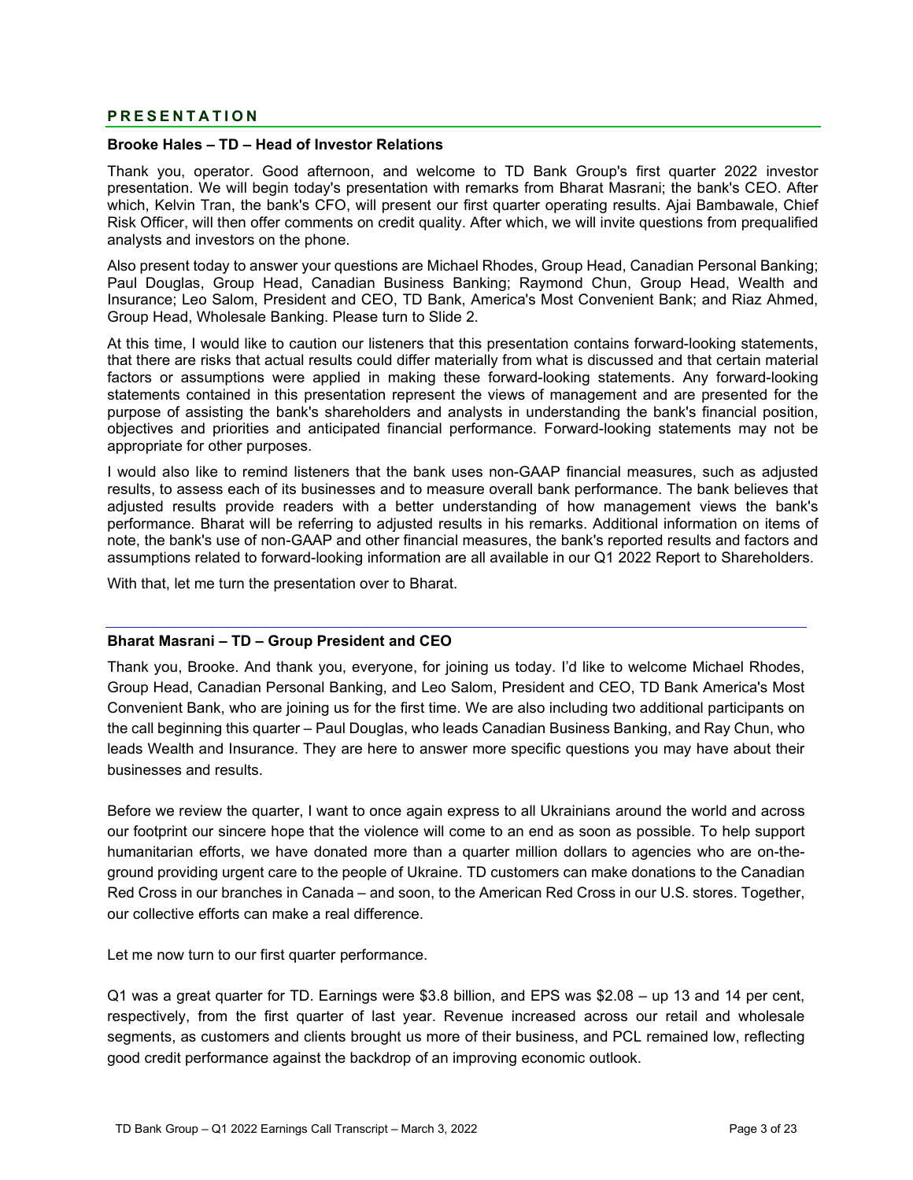# **PRESENTATION**

# **Brooke Hales – TD – Head of Investor Relations**

 Thank you, operator. Good afternoon, and welcome to TD Bank Group's first quarter 2022 investor presentation. We will begin today's presentation with remarks from Bharat Masrani; the bank's CEO. After which, Kelvin Tran, the bank's CFO, will present our first quarter operating results. Ajai Bambawale, Chief Risk Officer, will then offer comments on credit quality. After which, we will invite questions from prequalified analysts and investors on the phone.

 Paul Douglas, Group Head, Canadian Business Banking; Raymond Chun, Group Head, Wealth and Also present today to answer your questions are Michael Rhodes, Group Head, Canadian Personal Banking; Insurance; Leo Salom, President and CEO, TD Bank, America's Most Convenient Bank; and Riaz Ahmed, Group Head, Wholesale Banking. Please turn to Slide 2.

At this time, I would like to caution our listeners that this presentation contains forward-looking statements, that there are risks that actual results could differ materially from what is discussed and that certain material factors or assumptions were applied in making these forward-looking statements. Any forward-looking statements contained in this presentation represent the views of management and are presented for the purpose of assisting the bank's shareholders and analysts in understanding the bank's financial position, objectives and priorities and anticipated financial performance. Forward-looking statements may not be appropriate for other purposes.

 adjusted results provide readers with a better understanding of how management views the bank's I would also like to remind listeners that the bank uses non-GAAP financial measures, such as adjusted results, to assess each of its businesses and to measure overall bank performance. The bank believes that performance. Bharat will be referring to adjusted results in his remarks. Additional information on items of note, the bank's use of non-GAAP and other financial measures, the bank's reported results and factors and assumptions related to forward-looking information are all available in our Q1 2022 Report to Shareholders.

With that, let me turn the presentation over to Bharat.

# **Bharat Masrani – TD – Group President and CEO**

Thank you, Brooke. And thank you, everyone, for joining us today. I'd like to welcome Michael Rhodes, Group Head, Canadian Personal Banking, and Leo Salom, President and CEO, TD Bank America's Most Convenient Bank, who are joining us for the first time. We are also including two additional participants on the call beginning this quarter – Paul Douglas, who leads Canadian Business Banking, and Ray Chun, who leads Wealth and Insurance. They are here to answer more specific questions you may have about their businesses and results.

- humanitarian efforts, we have donated more than a quarter million dollars to agencies who are on-the Before we review the quarter, I want to once again express to all Ukrainians around the world and across our footprint our sincere hope that the violence will come to an end as soon as possible. To help support ground providing urgent care to the people of Ukraine. TD customers can make donations to the Canadian Red Cross in our branches in Canada – and soon, to the American Red Cross in our U.S. stores. Together, our collective efforts can make a real difference.

Let me now turn to our first quarter performance.

Q1 was a great quarter for TD. Earnings were \$3.8 billion, and EPS was \$2.08 – up 13 and 14 per cent, respectively, from the first quarter of last year. Revenue increased across our retail and wholesale segments, as customers and clients brought us more of their business, and PCL remained low, reflecting good credit performance against the backdrop of an improving economic outlook.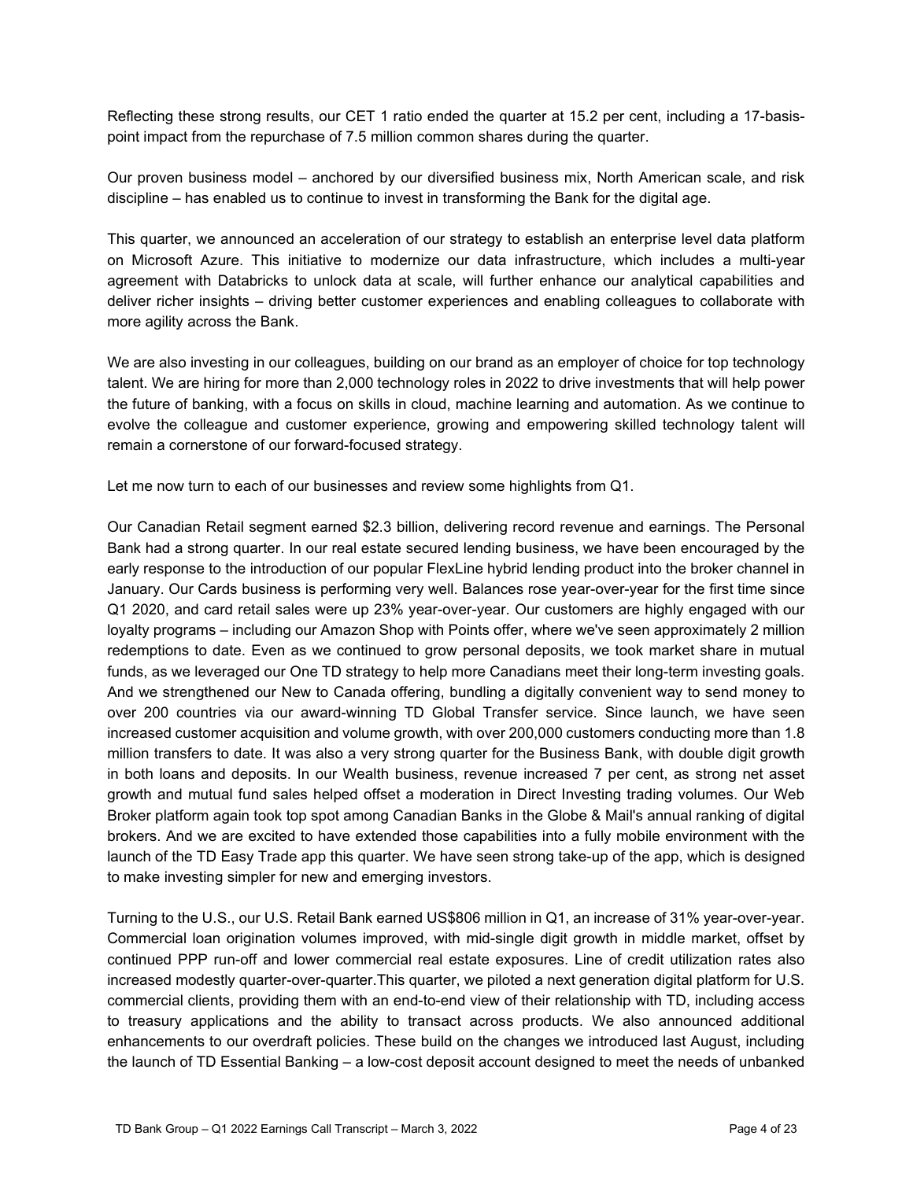- Reflecting these strong results, our CET 1 ratio ended the quarter at 15.2 per cent, including a 17-basis point impact from the repurchase of 7.5 million common shares during the quarter.

Our proven business model – anchored by our diversified business mix, North American scale, and risk discipline – has enabled us to continue to invest in transforming the Bank for the digital age.

This quarter, we announced an acceleration of our strategy to establish an enterprise level data platform on Microsoft Azure. This initiative to modernize our data infrastructure, which includes a multi-year agreement with Databricks to unlock data at scale, will further enhance our analytical capabilities and deliver richer insights – driving better customer experiences and enabling colleagues to collaborate with more agility across the Bank.

 remain a cornerstone of our forward-focused strategy. We are also investing in our colleagues, building on our brand as an employer of choice for top technology talent. We are hiring for more than 2,000 technology roles in 2022 to drive investments that will help power the future of banking, with a focus on skills in cloud, machine learning and automation. As we continue to evolve the colleague and customer experience, growing and empowering skilled technology talent will

Let me now turn to each of our businesses and review some highlights from Q1.

Our Canadian Retail segment earned \$2.3 billion, delivering record revenue and earnings. The Personal Bank had a strong quarter. In our real estate secured lending business, we have been encouraged by the early response to the introduction of our popular FlexLine hybrid lending product into the broker channel in January. Our Cards business is performing very well. Balances rose year-over-year for the first time since Q1 2020, and card retail sales were up 23% year-over-year. Our customers are highly engaged with our loyalty programs – including our Amazon Shop with Points offer, where we've seen approximately 2 million redemptions to date. Even as we continued to grow personal deposits, we took market share in mutual funds, as we leveraged our One TD strategy to help more Canadians meet their long-term investing goals. And we strengthened our New to Canada offering, bundling a digitally convenient way to send money to over 200 countries via our award-winning TD Global Transfer service. Since launch, we have seen increased customer acquisition and volume growth, with over 200,000 customers conducting more than 1.8 million transfers to date. It was also a very strong quarter for the Business Bank, with double digit growth in both loans and deposits. In our Wealth business, revenue increased 7 per cent, as strong net asset growth and mutual fund sales helped offset a moderation in Direct Investing trading volumes. Our Web Broker platform again took top spot among Canadian Banks in the Globe & Mail's annual ranking of digital brokers. And we are excited to have extended those capabilities into a fully mobile environment with the launch of the TD Easy Trade app this quarter. We have seen strong take-up of the app, which is designed to make investing simpler for new and emerging investors.

 to treasury applications and the ability to transact across products. We also announced additional Turning to the U.S., our U.S. Retail Bank earned US\$806 million in Q1, an increase of 31% year-over-year. Commercial loan origination volumes improved, with mid-single digit growth in middle market, offset by continued PPP run-off and lower commercial real estate exposures. Line of credit utilization rates also increased modestly quarter-over-quarter.This quarter, we piloted a next generation digital platform for U.S. commercial clients, providing them with an end-to-end view of their relationship with TD, including access enhancements to our overdraft policies. These build on the changes we introduced last August, including the launch of TD Essential Banking – a low-cost deposit account designed to meet the needs of unbanked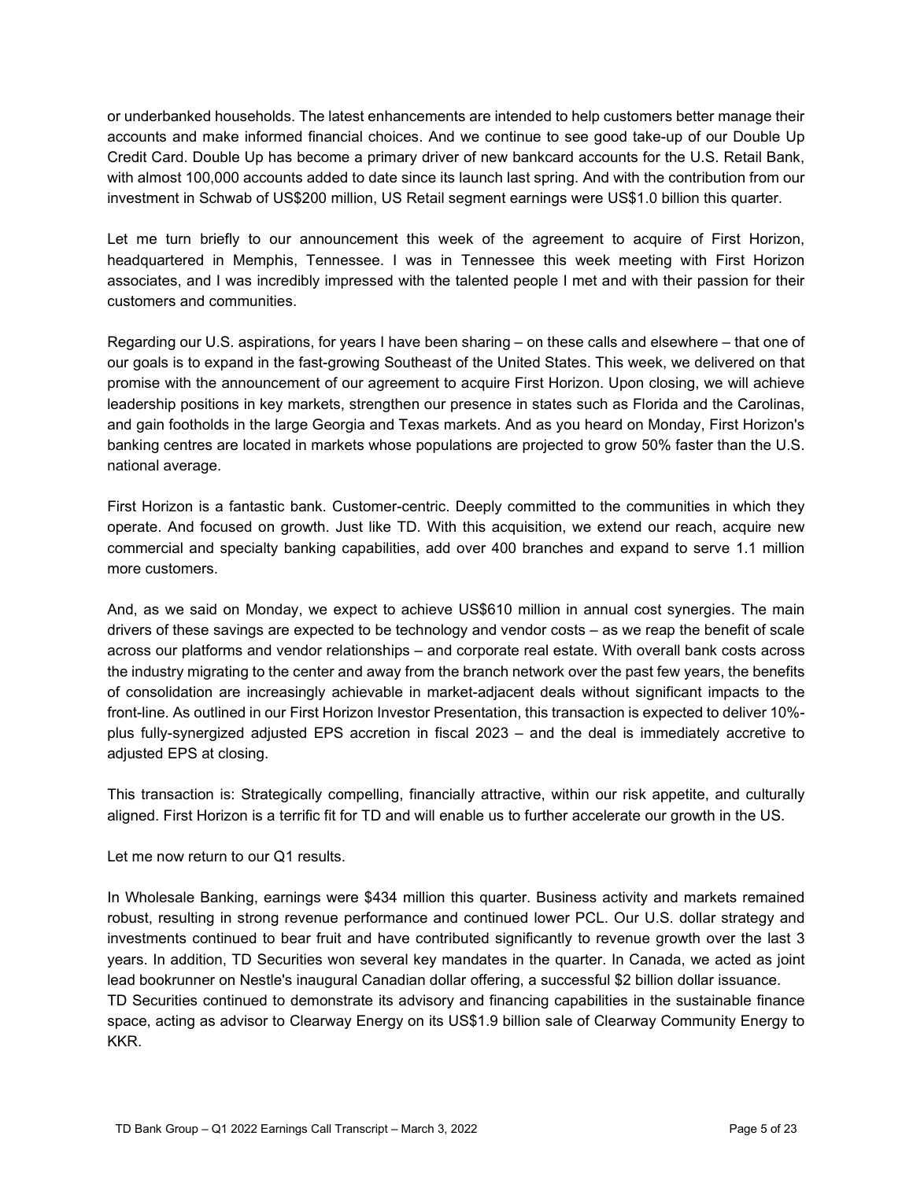or underbanked households. The latest enhancements are intended to help customers better manage their accounts and make informed financial choices. And we continue to see good take-up of our Double Up Credit Card. Double Up has become a primary driver of new bankcard accounts for the U.S. Retail Bank, with almost 100,000 accounts added to date since its launch last spring. And with the contribution from our investment in Schwab of US\$200 million, US Retail segment earnings were US\$1.0 billion this quarter.

 Let me turn briefly to our announcement this week of the agreement to acquire of First Horizon, headquartered in Memphis, Tennessee. I was in Tennessee this week meeting with First Horizon associates, and I was incredibly impressed with the talented people I met and with their passion for their customers and communities.

Regarding our U.S. aspirations, for years I have been sharing – on these calls and elsewhere – that one of our goals is to expand in the fast-growing Southeast of the United States. This week, we delivered on that promise with the announcement of our agreement to acquire First Horizon. Upon closing, we will achieve leadership positions in key markets, strengthen our presence in states such as Florida and the Carolinas, and gain footholds in the large Georgia and Texas markets. And as you heard on Monday, First Horizon's banking centres are located in markets whose populations are projected to grow 50% faster than the U.S. national average.

First Horizon is a fantastic bank. Customer-centric. Deeply committed to the communities in which they operate. And focused on growth. Just like TD. With this acquisition, we extend our reach, acquire new commercial and specialty banking capabilities, add over 400 branches and expand to serve 1.1 million more customers.

And, as we said on Monday, we expect to achieve US\$610 million in annual cost synergies. The main drivers of these savings are expected to be technology and vendor costs – as we reap the benefit of scale across our platforms and vendor relationships – and corporate real estate. With overall bank costs across the industry migrating to the center and away from the branch network over the past few years, the benefits of consolidation are increasingly achievable in market-adjacent deals without significant impacts to the front-line. As outlined in our First Horizon Investor Presentation, this transaction is expected to deliver 10% plus fully-synergized adjusted EPS accretion in fiscal 2023 – and the deal is immediately accretive to adjusted EPS at closing.

This transaction is: Strategically compelling, financially attractive, within our risk appetite, and culturally aligned. First Horizon is a terrific fit for TD and will enable us to further accelerate our growth in the US.

Let me now return to our Q1 results.

In Wholesale Banking, earnings were \$434 million this quarter. Business activity and markets remained robust, resulting in strong revenue performance and continued lower PCL. Our U.S. dollar strategy and investments continued to bear fruit and have contributed significantly to revenue growth over the last 3 years. In addition, TD Securities won several key mandates in the quarter. In Canada, we acted as joint lead bookrunner on Nestle's inaugural Canadian dollar offering, a successful \$2 billion dollar issuance. TD Securities continued to demonstrate its advisory and financing capabilities in the sustainable finance space, acting as advisor to Clearway Energy on its US\$1.9 billion sale of Clearway Community Energy to KKR.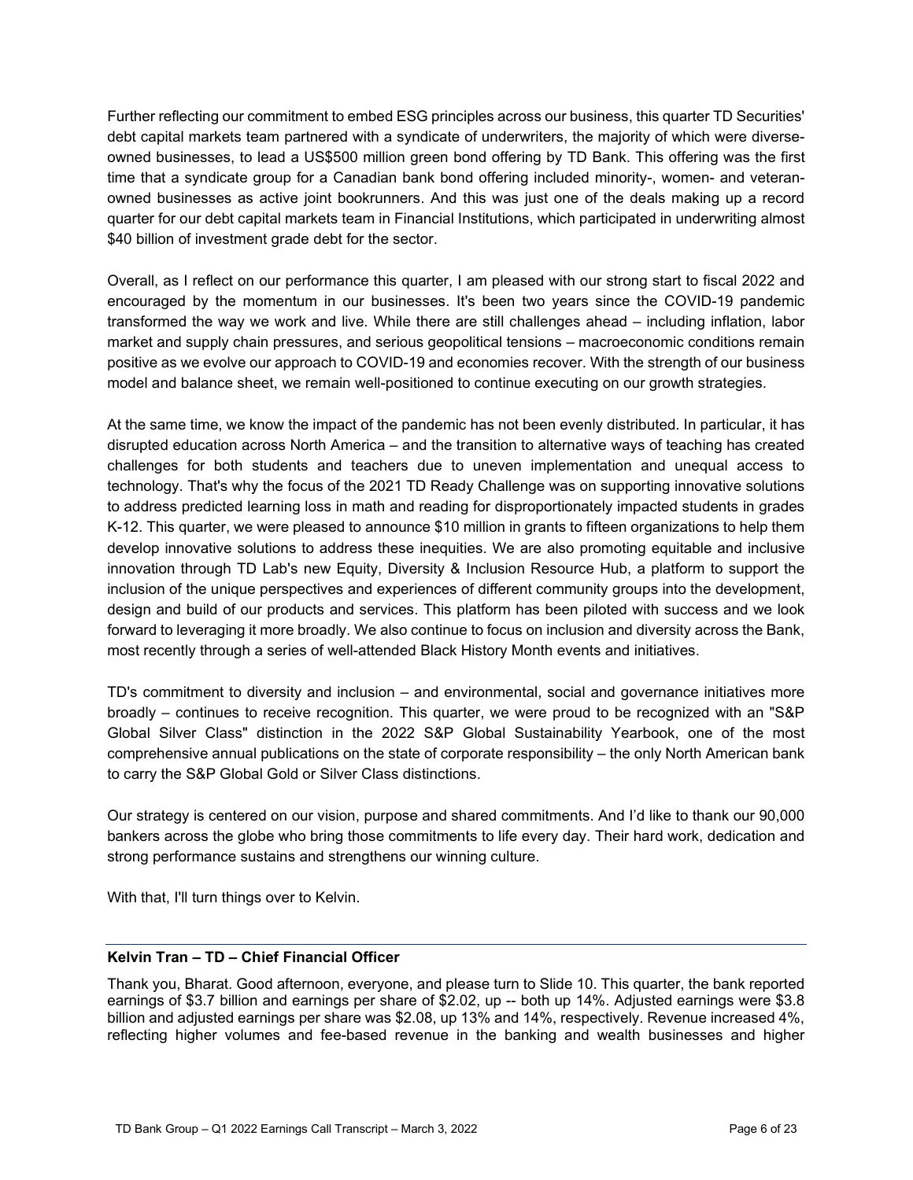- debt capital markets team partnered with a syndicate of underwriters, the majority of which were diverse time that a syndicate group for a Canadian bank bond offering included minority-, women- and veteran-Further reflecting our commitment to embed ESG principles across our business, this quarter TD Securities' owned businesses, to lead a US\$500 million green bond offering by TD Bank. This offering was the first owned businesses as active joint bookrunners. And this was just one of the deals making up a record quarter for our debt capital markets team in Financial Institutions, which participated in underwriting almost \$40 billion of investment grade debt for the sector.

Overall, as I reflect on our performance this quarter, I am pleased with our strong start to fiscal 2022 and encouraged by the momentum in our businesses. It's been two years since the COVID-19 pandemic transformed the way we work and live. While there are still challenges ahead – including inflation, labor market and supply chain pressures, and serious geopolitical tensions – macroeconomic conditions remain positive as we evolve our approach to COVID-19 and economies recover. With the strength of our business model and balance sheet, we remain well-positioned to continue executing on our growth strategies.

 challenges for both students and teachers due to uneven implementation and unequal access to At the same time, we know the impact of the pandemic has not been evenly distributed. In particular, it has disrupted education across North America – and the transition to alternative ways of teaching has created technology. That's why the focus of the 2021 TD Ready Challenge was on supporting innovative solutions to address predicted learning loss in math and reading for disproportionately impacted students in grades K-12. This quarter, we were pleased to announce \$10 million in grants to fifteen organizations to help them develop innovative solutions to address these inequities. We are also promoting equitable and inclusive innovation through TD Lab's new Equity, Diversity & Inclusion Resource Hub, a platform to support the inclusion of the unique perspectives and experiences of different community groups into the development, design and build of our products and services. This platform has been piloted with success and we look forward to leveraging it more broadly. We also continue to focus on inclusion and diversity across the Bank, most recently through a series of well-attended Black History Month events and initiatives.

 Global Silver Class" distinction in the 2022 S&P Global Sustainability Yearbook, one of the most TD's commitment to diversity and inclusion – and environmental, social and governance initiatives more broadly – continues to receive recognition. This quarter, we were proud to be recognized with an "S&P comprehensive annual publications on the state of corporate responsibility – the only North American bank to carry the S&P Global Gold or Silver Class distinctions.

 strong performance sustains and strengthens our winning culture. Our strategy is centered on our vision, purpose and shared commitments. And I'd like to thank our 90,000 bankers across the globe who bring those commitments to life every day. Their hard work, dedication and

With that, I'll turn things over to Kelvin.

# **Kelvin Tran – TD – Chief Financial Officer**

Thank you, Bharat. Good afternoon, everyone, and please turn to Slide 10. This quarter, the bank reported earnings of \$3.7 billion and earnings per share of \$2.02, up -- both up 14%. Adjusted earnings were \$3.8 billion and adjusted earnings per share was \$2.08, up 13% and 14%, respectively. Revenue increased 4%, reflecting higher volumes and fee-based revenue in the banking and wealth businesses and higher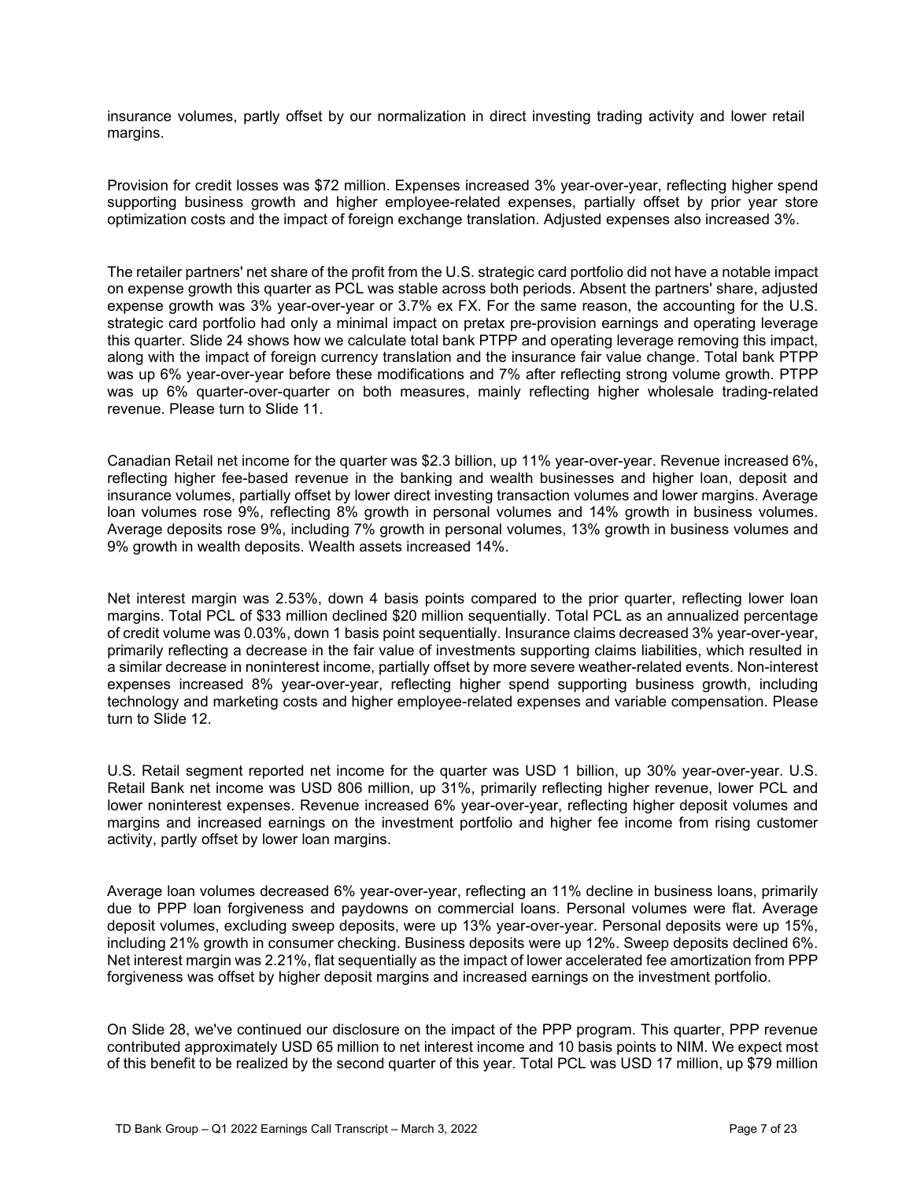insurance volumes, partly offset by our normalization in direct investing trading activity and lower retail margins.

 supporting business growth and higher employee-related expenses, partially offset by prior year store Provision for credit losses was \$72 million. Expenses increased 3% year-over-year, reflecting higher spend optimization costs and the impact of foreign exchange translation. Adjusted expenses also increased 3%.

The retailer partners' net share of the profit from the U.S. strategic card portfolio did not have a notable impact on expense growth this quarter as PCL was stable across both periods. Absent the partners' share, adjusted expense growth was 3% year-over-year or 3.7% ex FX. For the same reason, the accounting for the U.S. strategic card portfolio had only a minimal impact on pretax pre-provision earnings and operating leverage this quarter. Slide 24 shows how we calculate total bank PTPP and operating leverage removing this impact, along with the impact of foreign currency translation and the insurance fair value change. Total bank PTPP was up 6% year-over-year before these modifications and 7% after reflecting strong volume growth. PTPP was up 6% quarter-over-quarter on both measures, mainly reflecting higher wholesale trading-related revenue. Please turn to Slide 11.

Canadian Retail net income for the quarter was \$2.3 billion, up 11% year-over-year. Revenue increased 6%, reflecting higher fee-based revenue in the banking and wealth businesses and higher loan, deposit and insurance volumes, partially offset by lower direct investing transaction volumes and lower margins. Average loan volumes rose 9%, reflecting 8% growth in personal volumes and 14% growth in business volumes. Average deposits rose 9%, including 7% growth in personal volumes, 13% growth in business volumes and 9% growth in wealth deposits. Wealth assets increased 14%.

Net interest margin was 2.53%, down 4 basis points compared to the prior quarter, reflecting lower loan margins. Total PCL of \$33 million declined \$20 million sequentially. Total PCL as an annualized percentage of credit volume was 0.03%, down 1 basis point sequentially. Insurance claims decreased 3% year-over-year, primarily reflecting a decrease in the fair value of investments supporting claims liabilities, which resulted in a similar decrease in noninterest income, partially offset by more severe weather-related events. Non-interest expenses increased 8% year-over-year, reflecting higher spend supporting business growth, including technology and marketing costs and higher employee-related expenses and variable compensation. Please turn to Slide 12.

U.S. Retail segment reported net income for the quarter was USD 1 billion, up 30% year-over-year. U.S. Retail Bank net income was USD 806 million, up 31%, primarily reflecting higher revenue, lower PCL and lower noninterest expenses. Revenue increased 6% year-over-year, reflecting higher deposit volumes and margins and increased earnings on the investment portfolio and higher fee income from rising customer activity, partly offset by lower loan margins.

Average loan volumes decreased 6% year-over-year, reflecting an 11% decline in business loans, primarily due to PPP loan forgiveness and paydowns on commercial loans. Personal volumes were flat. Average deposit volumes, excluding sweep deposits, were up 13% year-over-year. Personal deposits were up 15%, including 21% growth in consumer checking. Business deposits were up 12%. Sweep deposits declined 6%. Net interest margin was 2.21%, flat sequentially as the impact of lower accelerated fee amortization from PPP forgiveness was offset by higher deposit margins and increased earnings on the investment portfolio.

On Slide 28, we've continued our disclosure on the impact of the PPP program. This quarter, PPP revenue contributed approximately USD 65 million to net interest income and 10 basis points to NIM. We expect most of this benefit to be realized by the second quarter of this year. Total PCL was USD 17 million, up \$79 million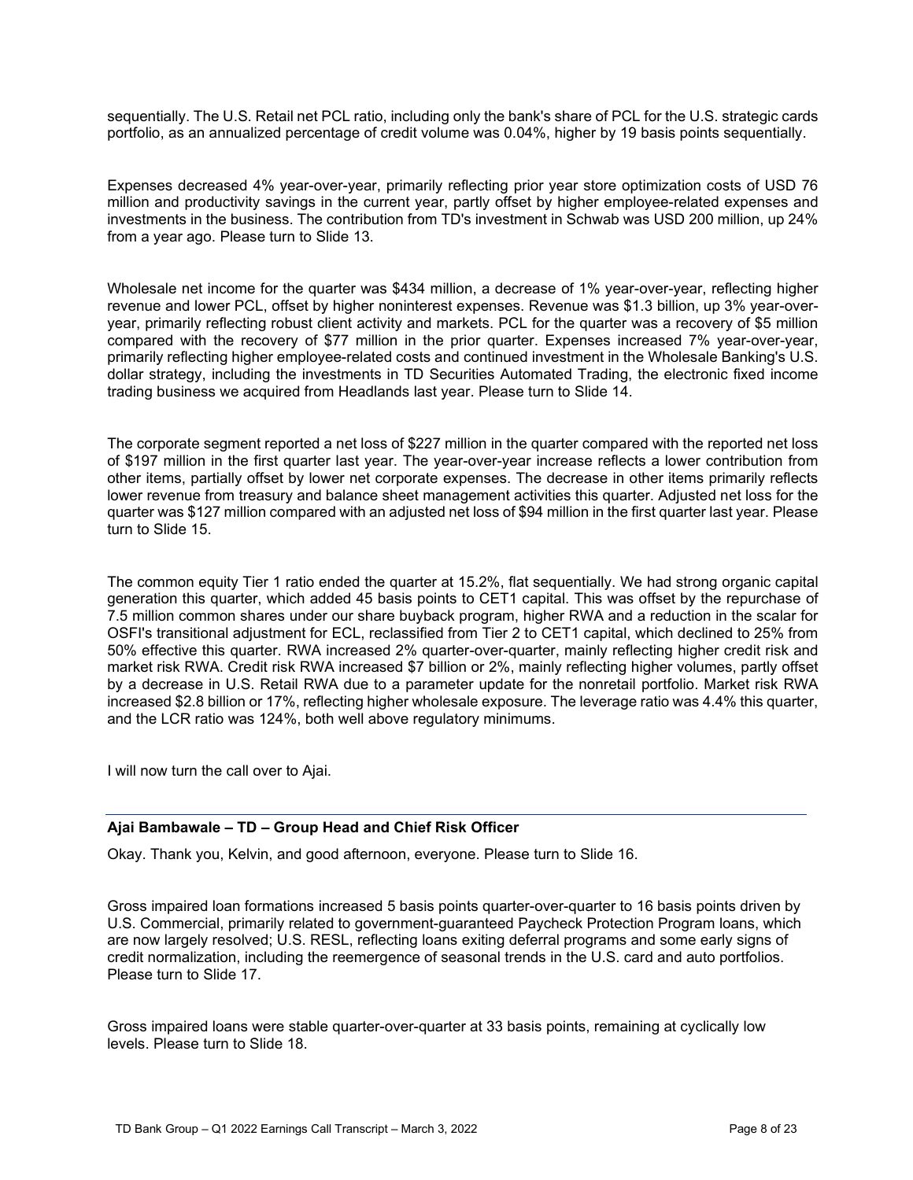sequentially. The U.S. Retail net PCL ratio, including only the bank's share of PCL for the U.S. strategic cards portfolio, as an annualized percentage of credit volume was 0.04%, higher by 19 basis points sequentially.

Expenses decreased 4% year-over-year, primarily reflecting prior year store optimization costs of USD 76 million and productivity savings in the current year, partly offset by higher employee-related expenses and investments in the business. The contribution from TD's investment in Schwab was USD 200 million, up 24% from a year ago. Please turn to Slide 13.

- revenue and lower PCL, offset by higher noninterest expenses. Revenue was \$1.3 billion, up 3% year-over Wholesale net income for the quarter was \$434 million, a decrease of 1% year-over-year, reflecting higher year, primarily reflecting robust client activity and markets. PCL for the quarter was a recovery of \$5 million compared with the recovery of \$77 million in the prior quarter. Expenses increased 7% year-over-year, primarily reflecting higher employee-related costs and continued investment in the Wholesale Banking's U.S. dollar strategy, including the investments in TD Securities Automated Trading, the electronic fixed income trading business we acquired from Headlands last year. Please turn to Slide 14.

The corporate segment reported a net loss of \$227 million in the quarter compared with the reported net loss of \$197 million in the first quarter last year. The year-over-year increase reflects a lower contribution from other items, partially offset by lower net corporate expenses. The decrease in other items primarily reflects lower revenue from treasury and balance sheet management activities this quarter. Adjusted net loss for the quarter was \$127 million compared with an adjusted net loss of \$94 million in the first quarter last year. Please turn to Slide 15.

The common equity Tier 1 ratio ended the quarter at 15.2%, flat sequentially. We had strong organic capital generation this quarter, which added 45 basis points to CET1 capital. This was offset by the repurchase of 7.5 million common shares under our share buyback program, higher RWA and a reduction in the scalar for OSFI's transitional adjustment for ECL, reclassified from Tier 2 to CET1 capital, which declined to 25% from 50% effective this quarter. RWA increased 2% quarter-over-quarter, mainly reflecting higher credit risk and market risk RWA. Credit risk RWA increased \$7 billion or 2%, mainly reflecting higher volumes, partly offset by a decrease in U.S. Retail RWA due to a parameter update for the nonretail portfolio. Market risk RWA increased \$2.8 billion or 17%, reflecting higher wholesale exposure. The leverage ratio was 4.4% this quarter, and the LCR ratio was 124%, both well above regulatory minimums.

I will now turn the call over to Ajai.

# **Ajai Bambawale – TD – Group Head and Chief Risk Officer**

Okay. Thank you, Kelvin, and good afternoon, everyone. Please turn to Slide 16.

Gross impaired loan formations increased 5 basis points quarter-over-quarter to 16 basis points driven by U.S. Commercial, primarily related to government-guaranteed Paycheck Protection Program loans, which are now largely resolved; U.S. RESL, reflecting loans exiting deferral programs and some early signs of credit normalization, including the reemergence of seasonal trends in the U.S. card and auto portfolios. Please turn to Slide 17.

Gross impaired loans were stable quarter-over-quarter at 33 basis points, remaining at cyclically low levels. Please turn to Slide 18.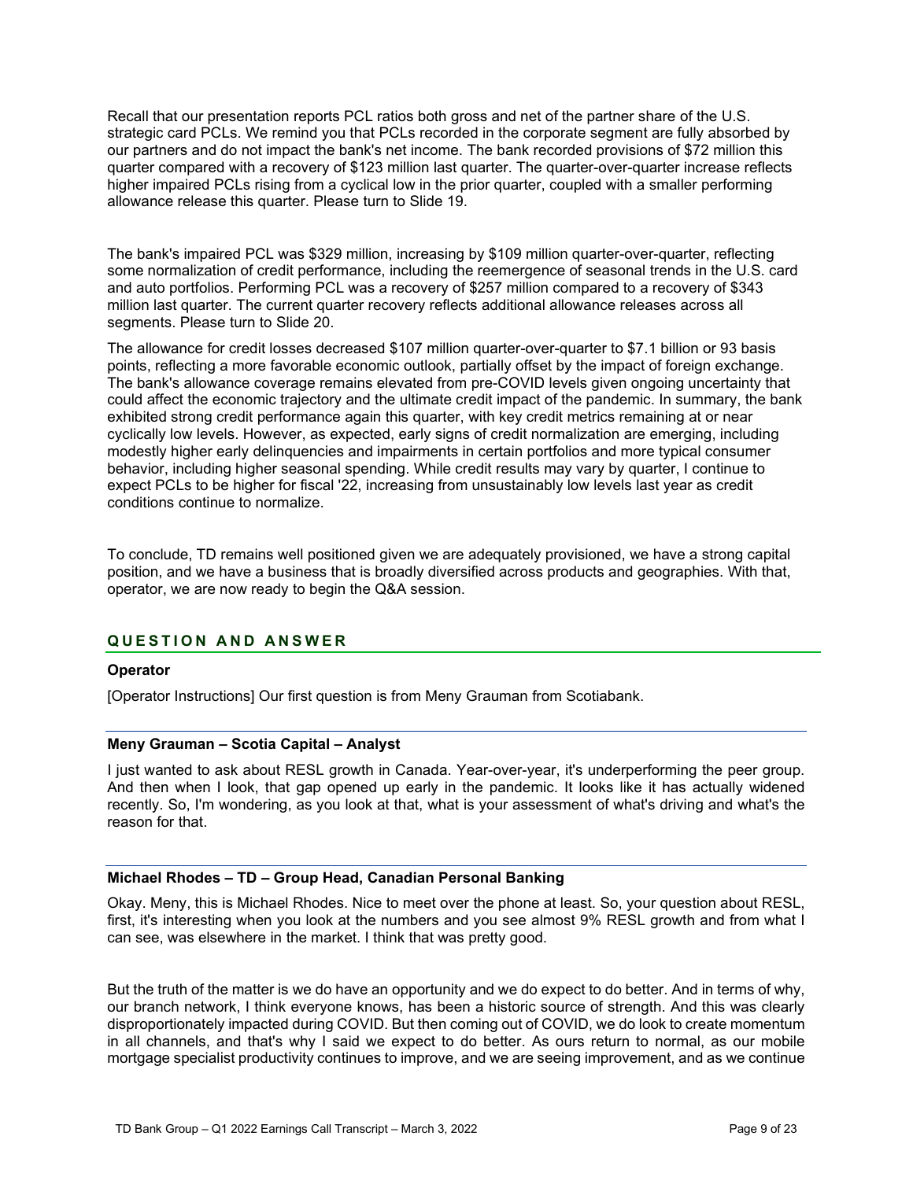Recall that our presentation reports PCL ratios both gross and net of the partner share of the U.S. strategic card PCLs. We remind you that PCLs recorded in the corporate segment are fully absorbed by our partners and do not impact the bank's net income. The bank recorded provisions of \$72 million this quarter compared with a recovery of \$123 million last quarter. The quarter-over-quarter increase reflects higher impaired PCLs rising from a cyclical low in the prior quarter, coupled with a smaller performing allowance release this quarter. Please turn to Slide 19.

The bank's impaired PCL was \$329 million, increasing by \$109 million quarter-over-quarter, reflecting some normalization of credit performance, including the reemergence of seasonal trends in the U.S. card and auto portfolios. Performing PCL was a recovery of \$257 million compared to a recovery of \$343 million last quarter. The current quarter recovery reflects additional allowance releases across all segments. Please turn to Slide 20.

The allowance for credit losses decreased \$107 million quarter-over-quarter to \$7.1 billion or 93 basis points, reflecting a more favorable economic outlook, partially offset by the impact of foreign exchange. The bank's allowance coverage remains elevated from pre-COVID levels given ongoing uncertainty that could affect the economic trajectory and the ultimate credit impact of the pandemic. In summary, the bank exhibited strong credit performance again this quarter, with key credit metrics remaining at or near cyclically low levels. However, as expected, early signs of credit normalization are emerging, including modestly higher early delinquencies and impairments in certain portfolios and more typical consumer behavior, including higher seasonal spending. While credit results may vary by quarter, I continue to expect PCLs to be higher for fiscal '22, increasing from unsustainably low levels last year as credit conditions continue to normalize.

To conclude, TD remains well positioned given we are adequately provisioned, we have a strong capital position, and we have a business that is broadly diversified across products and geographies. With that, operator, we are now ready to begin the Q&A session.

# **Q U ESTION AND ANSWER**

# **Operator**

[Operator Instructions] Our first question is from Meny Grauman from Scotiabank.

# **Meny Grauman – Scotia Capital – Analyst**

I just wanted to ask about RESL growth in Canada. Year-over-year, it's underperforming the peer group. And then when I look, that gap opened up early in the pandemic. It looks like it has actually widened recently. So, I'm wondering, as you look at that, what is your assessment of what's driving and what's the reason for that.

# **Michael Rhodes – TD – Group Head, Canadian Personal Banking**

 can see, was elsewhere in the market. I think that was pretty good. Okay. Meny, this is Michael Rhodes. Nice to meet over the phone at least. So, your question about RESL, first, it's interesting when you look at the numbers and you see almost 9% RESL growth and from what I

But the truth of the matter is we do have an opportunity and we do expect to do better. And in terms of why, our branch network, I think everyone knows, has been a historic source of strength. And this was clearly disproportionately impacted during COVID. But then coming out of COVID, we do look to create momentum in all channels, and that's why I said we expect to do better. As ours return to normal, as our mobile mortgage specialist productivity continues to improve, and we are seeing improvement, and as we continue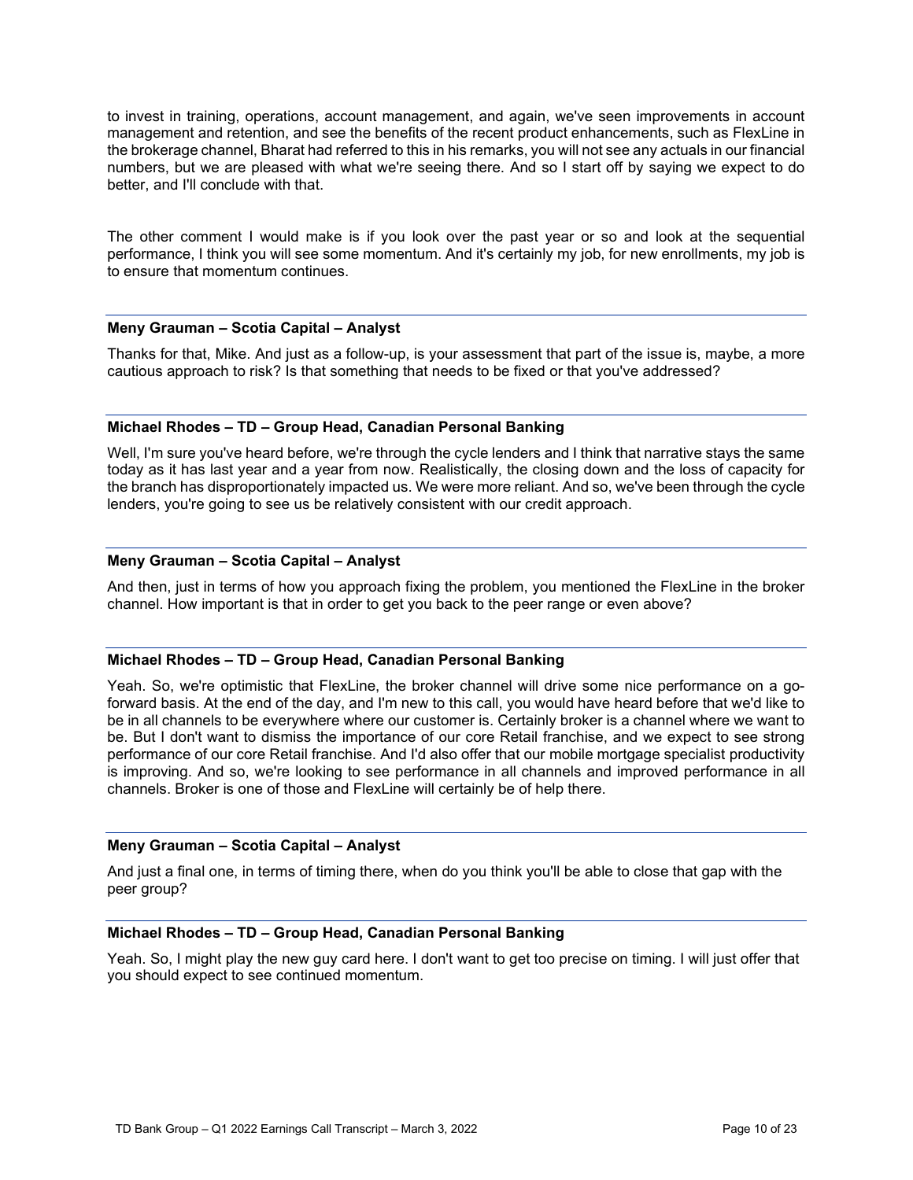to invest in training, operations, account management, and again, we've seen improvements in account management and retention, and see the benefits of the recent product enhancements, such as FlexLine in the brokerage channel, Bharat had referred to this in his remarks, you will not see any actuals in our financial numbers, but we are pleased with what we're seeing there. And so I start off by saying we expect to do better, and I'll conclude with that.

The other comment I would make is if you look over the past year or so and look at the sequential performance, I think you will see some momentum. And it's certainly my job, for new enrollments, my job is to ensure that momentum continues.

# **Meny Grauman – Scotia Capital – Analyst**

Thanks for that, Mike. And just as a follow-up, is your assessment that part of the issue is, maybe, a more cautious approach to risk? Is that something that needs to be fixed or that you've addressed?

# **Michael Rhodes – TD – Group Head, Canadian Personal Banking**

Well, I'm sure you've heard before, we're through the cycle lenders and I think that narrative stays the same today as it has last year and a year from now. Realistically, the closing down and the loss of capacity for the branch has disproportionately impacted us. We were more reliant. And so, we've been through the cycle lenders, you're going to see us be relatively consistent with our credit approach.

# **Meny Grauman – Scotia Capital – Analyst**

And then, just in terms of how you approach fixing the problem, you mentioned the FlexLine in the broker channel. How important is that in order to get you back to the peer range or even above?

# **Michael Rhodes – TD – Group Head, Canadian Personal Banking**

Yeah. So, we're optimistic that FlexLine, the broker channel will drive some nice performance on a goforward basis. At the end of the day, and I'm new to this call, you would have heard before that we'd like to be in all channels to be everywhere where our customer is. Certainly broker is a channel where we want to be. But I don't want to dismiss the importance of our core Retail franchise, and we expect to see strong performance of our core Retail franchise. And I'd also offer that our mobile mortgage specialist productivity is improving. And so, we're looking to see performance in all channels and improved performance in all channels. Broker is one of those and FlexLine will certainly be of help there.

# **Meny Grauman – Scotia Capital – Analyst**

And just a final one, in terms of timing there, when do you think you'll be able to close that gap with the peer group?

#### **Michael Rhodes – TD – Group Head, Canadian Personal Banking**

Yeah. So, I might play the new guy card here. I don't want to get too precise on timing. I will just offer that you should expect to see continued momentum.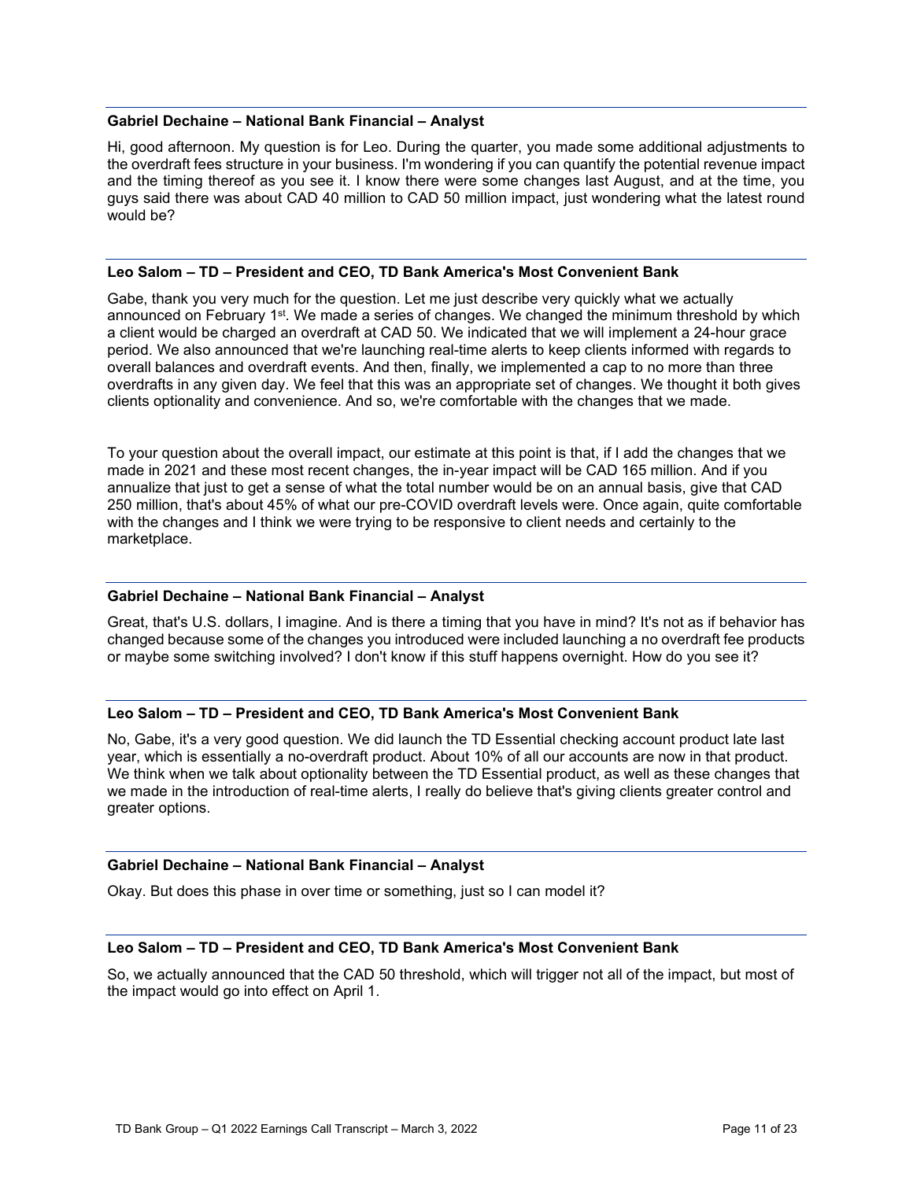#### **Gabriel Dechaine – National Bank Financial – Analyst**

Hi, good afternoon. My question is for Leo. During the quarter, you made some additional adjustments to the overdraft fees structure in your business. I'm wondering if you can quantify the potential revenue impact and the timing thereof as you see it. I know there were some changes last August, and at the time, you guys said there was about CAD 40 million to CAD 50 million impact, just wondering what the latest round would be?

#### **Leo Salom – TD – President and CEO, TD Bank America's Most Convenient Bank**

Gabe, thank you very much for the question. Let me just describe very quickly what we actually announced on February 1<sup>st</sup>. We made a series of changes. We changed the minimum threshold by which a client would be charged an overdraft at CAD 50. We indicated that we will implement a 24-hour grace period. We also announced that we're launching real-time alerts to keep clients informed with regards to overall balances and overdraft events. And then, finally, we implemented a cap to no more than three overdrafts in any given day. We feel that this was an appropriate set of changes. We thought it both gives clients optionality and convenience. And so, we're comfortable with the changes that we made.

To your question about the overall impact, our estimate at this point is that, if I add the changes that we made in 2021 and these most recent changes, the in-year impact will be CAD 165 million. And if you annualize that just to get a sense of what the total number would be on an annual basis, give that CAD 250 million, that's about 45% of what our pre-COVID overdraft levels were. Once again, quite comfortable with the changes and I think we were trying to be responsive to client needs and certainly to the marketplace.

# **Gabriel Dechaine – National Bank Financial – Analyst**

Great, that's U.S. dollars, I imagine. And is there a timing that you have in mind? It's not as if behavior has changed because some of the changes you introduced were included launching a no overdraft fee products or maybe some switching involved? I don't know if this stuff happens overnight. How do you see it?

# **Leo Salom – TD – President and CEO, TD Bank America's Most Convenient Bank**

No, Gabe, it's a very good question. We did launch the TD Essential checking account product late last year, which is essentially a no-overdraft product. About 10% of all our accounts are now in that product. We think when we talk about optionality between the TD Essential product, as well as these changes that we made in the introduction of real-time alerts, I really do believe that's giving clients greater control and greater options.

# **Gabriel Dechaine – National Bank Financial – Analyst**

Okay. But does this phase in over time or something, just so I can model it?

#### **Leo Salom – TD – President and CEO, TD Bank America's Most Convenient Bank**

So, we actually announced that the CAD 50 threshold, which will trigger not all of the impact, but most of the impact would go into effect on April 1.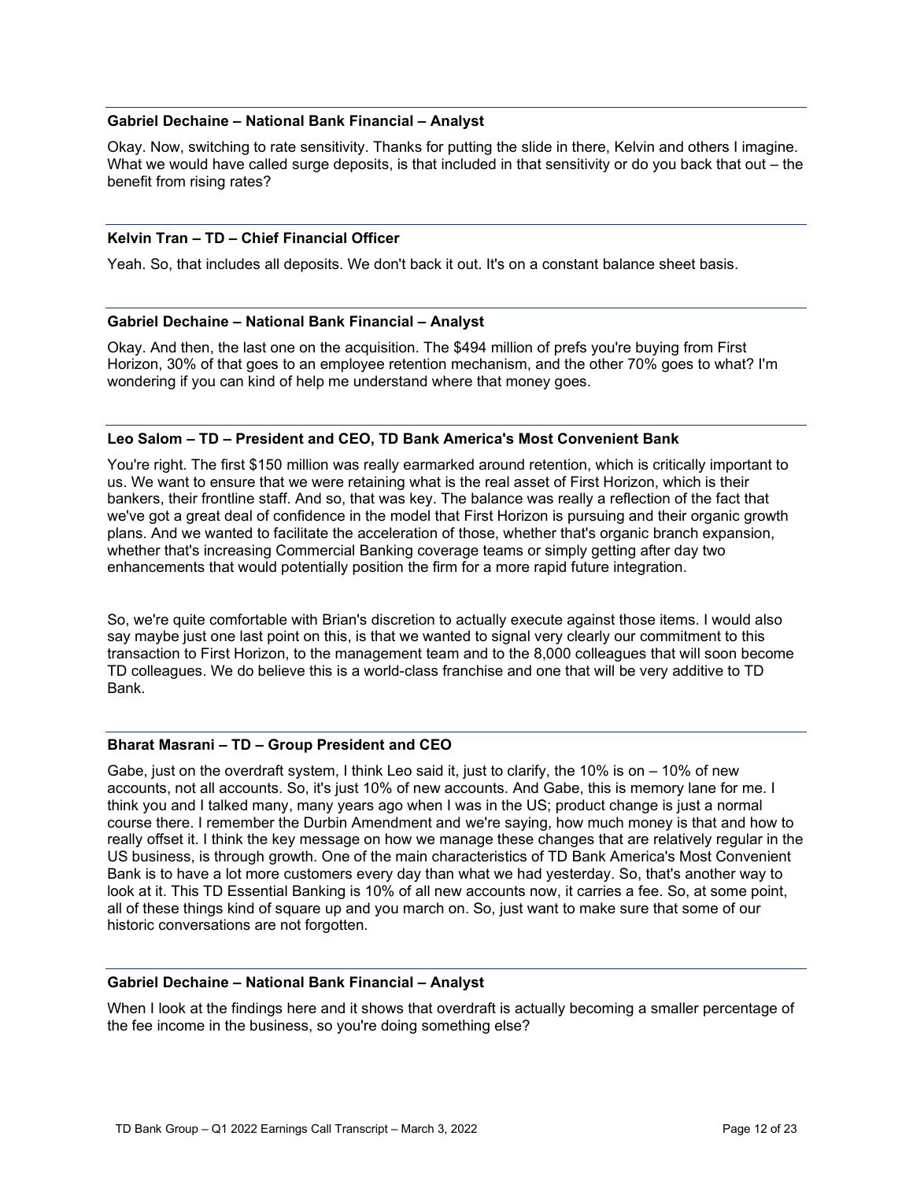#### **Gabriel Dechaine – National Bank Financial – Analyst**

Okay. Now, switching to rate sensitivity. Thanks for putting the slide in there, Kelvin and others I imagine. What we would have called surge deposits, is that included in that sensitivity or do you back that out – the benefit from rising rates?

# **Kelvin Tran – TD – Chief Financial Officer**

Yeah. So, that includes all deposits. We don't back it out. It's on a constant balance sheet basis.

#### **Gabriel Dechaine – National Bank Financial – Analyst**

Okay. And then, the last one on the acquisition. The \$494 million of prefs you're buying from First Horizon, 30% of that goes to an employee retention mechanism, and the other 70% goes to what? I'm wondering if you can kind of help me understand where that money goes.

#### **Leo Salom – TD – President and CEO, TD Bank America's Most Convenient Bank**

You're right. The first \$150 million was really earmarked around retention, which is critically important to us. We want to ensure that we were retaining what is the real asset of First Horizon, which is their bankers, their frontline staff. And so, that was key. The balance was really a reflection of the fact that we've got a great deal of confidence in the model that First Horizon is pursuing and their organic growth plans. And we wanted to facilitate the acceleration of those, whether that's organic branch expansion, whether that's increasing Commercial Banking coverage teams or simply getting after day two enhancements that would potentially position the firm for a more rapid future integration.

So, we're quite comfortable with Brian's discretion to actually execute against those items. I would also say maybe just one last point on this, is that we wanted to signal very clearly our commitment to this transaction to First Horizon, to the management team and to the 8,000 colleagues that will soon become TD colleagues. We do believe this is a world-class franchise and one that will be very additive to TD Bank.

#### **Bharat Masrani – TD – Group President and CEO**

Gabe, just on the overdraft system, I think Leo said it, just to clarify, the 10% is on – 10% of new accounts, not all accounts. So, it's just 10% of new accounts. And Gabe, this is memory lane for me. I think you and I talked many, many years ago when I was in the US; product change is just a normal course there. I remember the Durbin Amendment and we're saying, how much money is that and how to really offset it. I think the key message on how we manage these changes that are relatively regular in the US business, is through growth. One of the main characteristics of TD Bank America's Most Convenient Bank is to have a lot more customers every day than what we had yesterday. So, that's another way to look at it. This TD Essential Banking is 10% of all new accounts now, it carries a fee. So, at some point, all of these things kind of square up and you march on. So, just want to make sure that some of our historic conversations are not forgotten.

#### **Gabriel Dechaine – National Bank Financial – Analyst**

When I look at the findings here and it shows that overdraft is actually becoming a smaller percentage of the fee income in the business, so you're doing something else?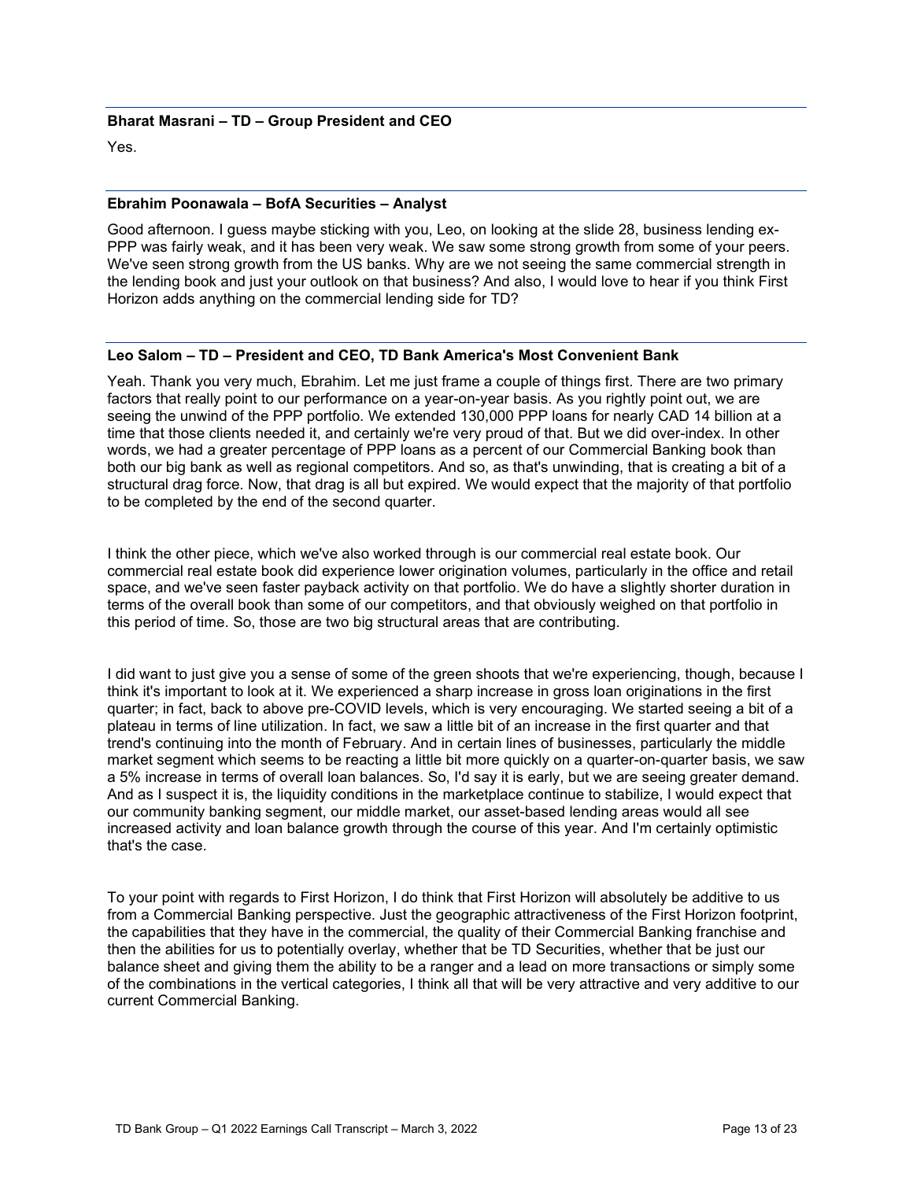# **Bharat Masrani – TD – Group President and CEO**

Yes.

### **Ebrahim Poonawala – BofA Securities – Analyst**

- Good afternoon. I guess maybe sticking with you, Leo, on looking at the slide 28, business lending ex PPP was fairly weak, and it has been very weak. We saw some strong growth from some of your peers. We've seen strong growth from the US banks. Why are we not seeing the same commercial strength in the lending book and just your outlook on that business? And also, I would love to hear if you think First Horizon adds anything on the commercial lending side for TD?

#### **Leo Salom – TD – President and CEO, TD Bank America's Most Convenient Bank**

Yeah. Thank you very much, Ebrahim. Let me just frame a couple of things first. There are two primary factors that really point to our performance on a year-on-year basis. As you rightly point out, we are seeing the unwind of the PPP portfolio. We extended 130,000 PPP loans for nearly CAD 14 billion at a time that those clients needed it, and certainly we're very proud of that. But we did over-index. In other words, we had a greater percentage of PPP loans as a percent of our Commercial Banking book than both our big bank as well as regional competitors. And so, as that's unwinding, that is creating a bit of a structural drag force. Now, that drag is all but expired. We would expect that the majority of that portfolio to be completed by the end of the second quarter.

I think the other piece, which we've also worked through is our commercial real estate book. Our commercial real estate book did experience lower origination volumes, particularly in the office and retail space, and we've seen faster payback activity on that portfolio. We do have a slightly shorter duration in terms of the overall book than some of our competitors, and that obviously weighed on that portfolio in this period of time. So, those are two big structural areas that are contributing.

I did want to just give you a sense of some of the green shoots that we're experiencing, though, because I think it's important to look at it. We experienced a sharp increase in gross loan originations in the first quarter; in fact, back to above pre-COVID levels, which is very encouraging. We started seeing a bit of a plateau in terms of line utilization. In fact, we saw a little bit of an increase in the first quarter and that trend's continuing into the month of February. And in certain lines of businesses, particularly the middle market segment which seems to be reacting a little bit more quickly on a quarter-on-quarter basis, we saw a 5% increase in terms of overall loan balances. So, I'd say it is early, but we are seeing greater demand. And as I suspect it is, the liquidity conditions in the marketplace continue to stabilize, I would expect that our community banking segment, our middle market, our asset-based lending areas would all see increased activity and loan balance growth through the course of this year. And I'm certainly optimistic that's the case.

To your point with regards to First Horizon, I do think that First Horizon will absolutely be additive to us from a Commercial Banking perspective. Just the geographic attractiveness of the First Horizon footprint, the capabilities that they have in the commercial, the quality of their Commercial Banking franchise and then the abilities for us to potentially overlay, whether that be TD Securities, whether that be just our balance sheet and giving them the ability to be a ranger and a lead on more transactions or simply some of the combinations in the vertical categories, I think all that will be very attractive and very additive to our current Commercial Banking.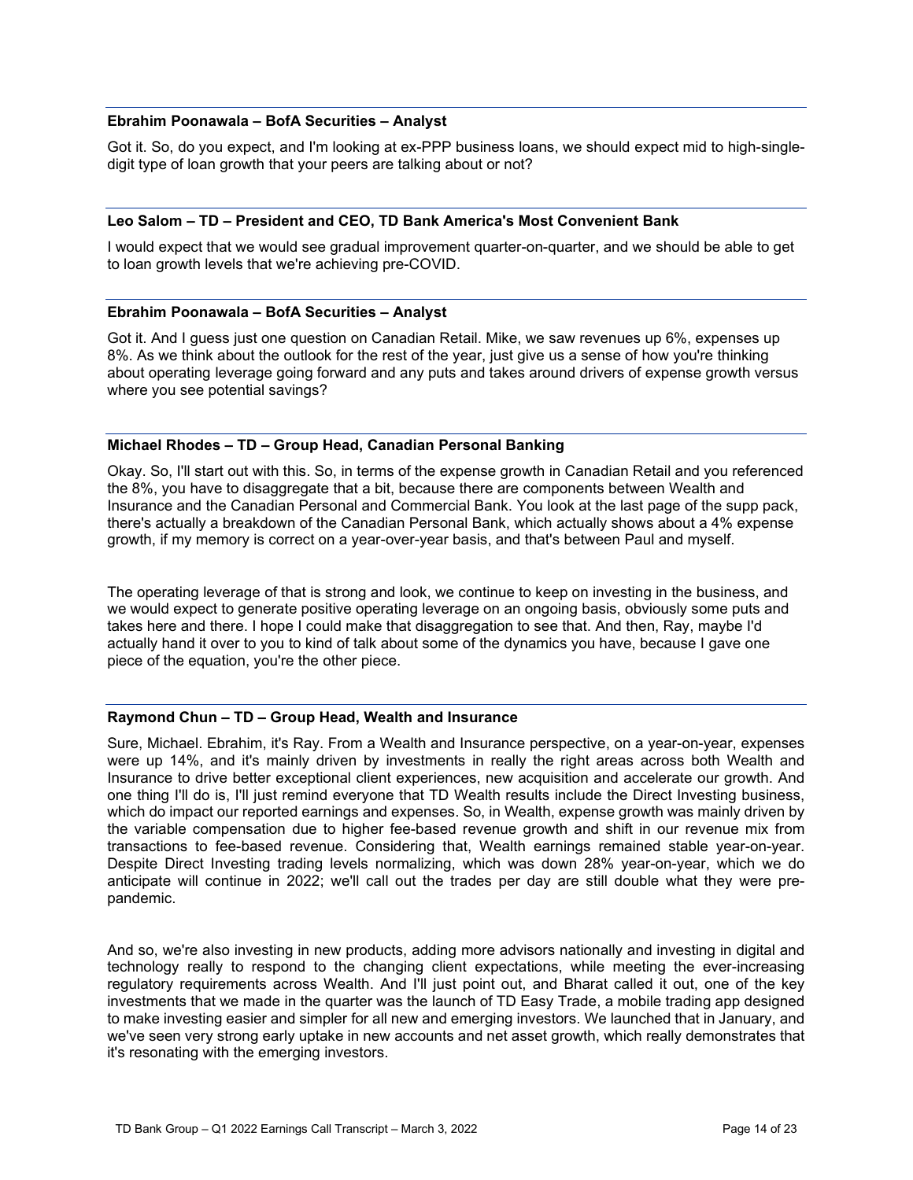#### **Ebrahim Poonawala – BofA Securities – Analyst**

- Got it. So, do you expect, and I'm looking at ex-PPP business loans, we should expect mid to high-single digit type of loan growth that your peers are talking about or not?

#### **Leo Salom – TD – President and CEO, TD Bank America's Most Convenient Bank**

I would expect that we would see gradual improvement quarter-on-quarter, and we should be able to get to loan growth levels that we're achieving pre-COVID.

#### **Ebrahim Poonawala – BofA Securities – Analyst**

Got it. And I guess just one question on Canadian Retail. Mike, we saw revenues up 6%, expenses up 8%. As we think about the outlook for the rest of the year, just give us a sense of how you're thinking about operating leverage going forward and any puts and takes around drivers of expense growth versus where you see potential savings?

#### **Michael Rhodes – TD – Group Head, Canadian Personal Banking**

Okay. So, I'll start out with this. So, in terms of the expense growth in Canadian Retail and you referenced the 8%, you have to disaggregate that a bit, because there are components between Wealth and Insurance and the Canadian Personal and Commercial Bank. You look at the last page of the supp pack, there's actually a breakdown of the Canadian Personal Bank, which actually shows about a 4% expense growth, if my memory is correct on a year-over-year basis, and that's between Paul and myself.

The operating leverage of that is strong and look, we continue to keep on investing in the business, and we would expect to generate positive operating leverage on an ongoing basis, obviously some puts and takes here and there. I hope I could make that disaggregation to see that. And then, Ray, maybe I'd actually hand it over to you to kind of talk about some of the dynamics you have, because I gave one piece of the equation, you're the other piece.

# **Raymond Chun – TD – Group Head, Wealth and Insurance**

- anticipate will continue in 2022; we'll call out the trades per day are still double what they were pre Sure, Michael. Ebrahim, it's Ray. From a Wealth and Insurance perspective, on a year-on-year, expenses were up 14%, and it's mainly driven by investments in really the right areas across both Wealth and Insurance to drive better exceptional client experiences, new acquisition and accelerate our growth. And one thing I'll do is, I'll just remind everyone that TD Wealth results include the Direct Investing business, which do impact our reported earnings and expenses. So, in Wealth, expense growth was mainly driven by the variable compensation due to higher fee-based revenue growth and shift in our revenue mix from transactions to fee-based revenue. Considering that, Wealth earnings remained stable year-on-year. Despite Direct Investing trading levels normalizing, which was down 28% year-on-year, which we do pandemic.

And so, we're also investing in new products, adding more advisors nationally and investing in digital and technology really to respond to the changing client expectations, while meeting the ever-increasing regulatory requirements across Wealth. And I'll just point out, and Bharat called it out, one of the key investments that we made in the quarter was the launch of TD Easy Trade, a mobile trading app designed to make investing easier and simpler for all new and emerging investors. We launched that in January, and we've seen very strong early uptake in new accounts and net asset growth, which really demonstrates that it's resonating with the emerging investors.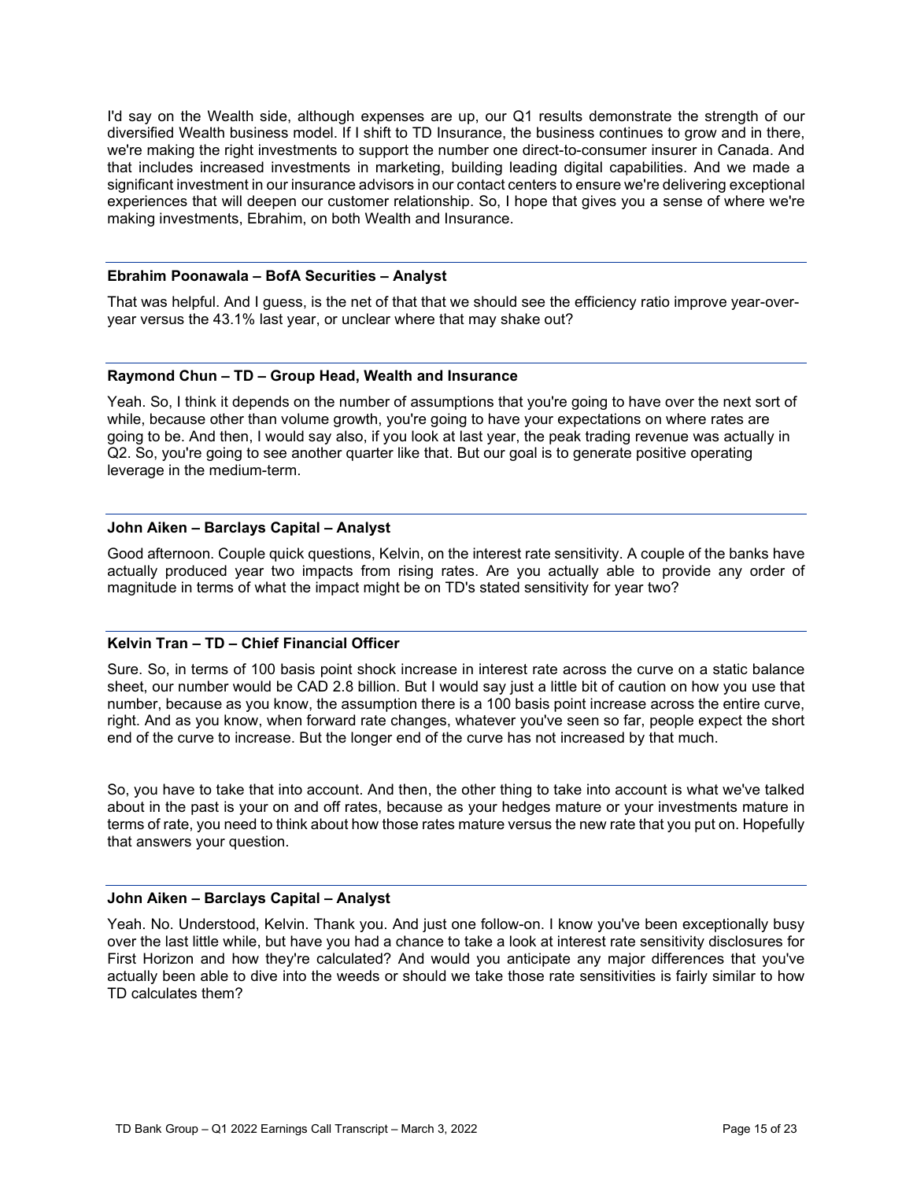I'd say on the Wealth side, although expenses are up, our Q1 results demonstrate the strength of our diversified Wealth business model. If I shift to TD Insurance, the business continues to grow and in there, we're making the right investments to support the number one direct-to-consumer insurer in Canada. And that includes increased investments in marketing, building leading digital capabilities. And we made a significant investment in our insurance advisors in our contact centers to ensure we're delivering exceptional experiences that will deepen our customer relationship. So, I hope that gives you a sense of where we're making investments, Ebrahim, on both Wealth and Insurance.

# **Ebrahim Poonawala – BofA Securities – Analyst**

- That was helpful. And I guess, is the net of that that we should see the efficiency ratio improve year-over year versus the 43.1% last year, or unclear where that may shake out?

#### **Raymond Chun – TD – Group Head, Wealth and Insurance**

Yeah. So, I think it depends on the number of assumptions that you're going to have over the next sort of while, because other than volume growth, you're going to have your expectations on where rates are going to be. And then, I would say also, if you look at last year, the peak trading revenue was actually in Q2. So, you're going to see another quarter like that. But our goal is to generate positive operating leverage in the medium-term.

# **John Aiken – Barclays Capital – Analyst**

Good afternoon. Couple quick questions, Kelvin, on the interest rate sensitivity. A couple of the banks have actually produced year two impacts from rising rates. Are you actually able to provide any order of magnitude in terms of what the impact might be on TD's stated sensitivity for year two?

# **Kelvin Tran – TD – Chief Financial Officer**

Sure. So, in terms of 100 basis point shock increase in interest rate across the curve on a static balance sheet, our number would be CAD 2.8 billion. But I would say just a little bit of caution on how you use that number, because as you know, the assumption there is a 100 basis point increase across the entire curve, right. And as you know, when forward rate changes, whatever you've seen so far, people expect the short end of the curve to increase. But the longer end of the curve has not increased by that much.

So, you have to take that into account. And then, the other thing to take into account is what we've talked about in the past is your on and off rates, because as your hedges mature or your investments mature in terms of rate, you need to think about how those rates mature versus the new rate that you put on. Hopefully that answers your question.

### **John Aiken – Barclays Capital – Analyst**

Yeah. No. Understood, Kelvin. Thank you. And just one follow-on. I know you've been exceptionally busy over the last little while, but have you had a chance to take a look at interest rate sensitivity disclosures for First Horizon and how they're calculated? And would you anticipate any major differences that you've actually been able to dive into the weeds or should we take those rate sensitivities is fairly similar to how TD calculates them?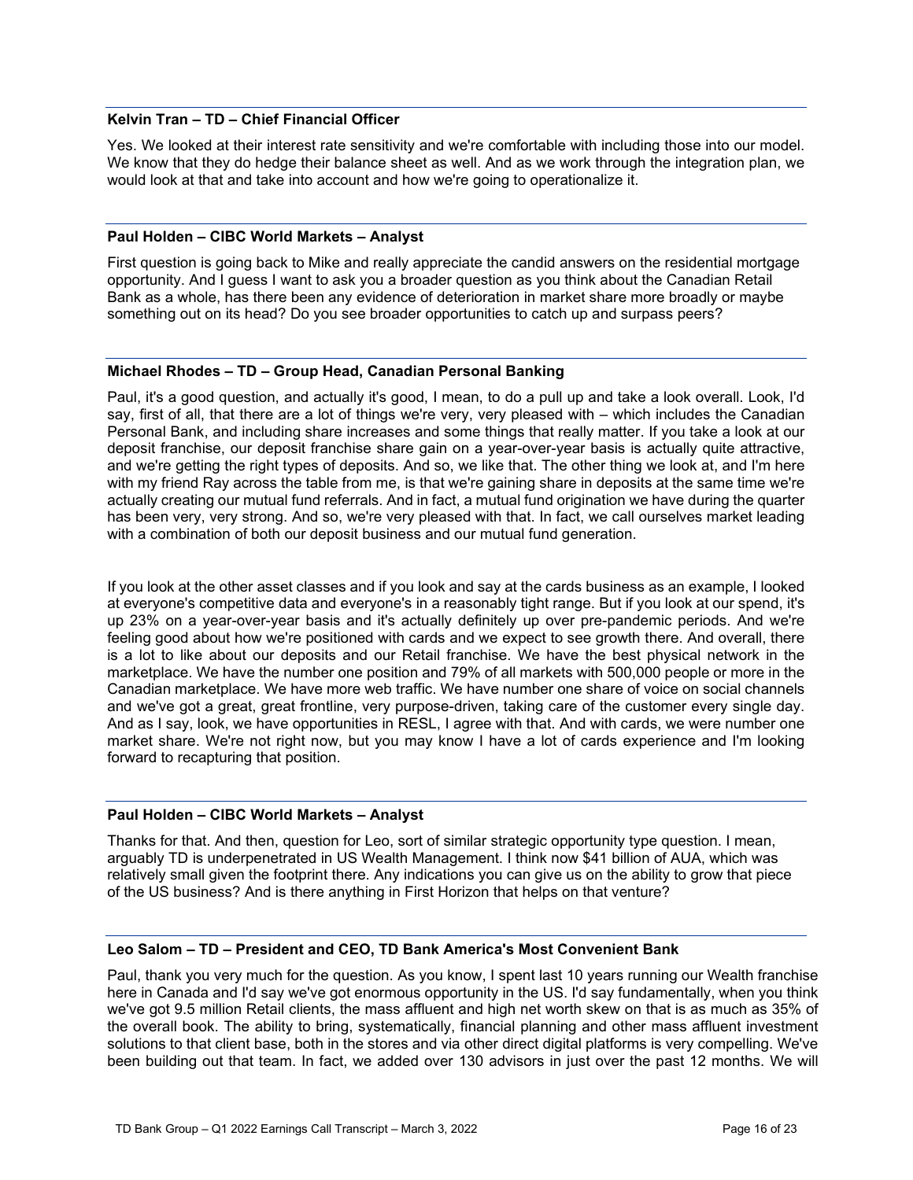#### **Kelvin Tran – TD – Chief Financial Officer**

Yes. We looked at their interest rate sensitivity and we're comfortable with including those into our model. We know that they do hedge their balance sheet as well. And as we work through the integration plan, we would look at that and take into account and how we're going to operationalize it.

# **Paul Holden – CIBC World Markets – Analyst**

First question is going back to Mike and really appreciate the candid answers on the residential mortgage opportunity. And I guess I want to ask you a broader question as you think about the Canadian Retail Bank as a whole, has there been any evidence of deterioration in market share more broadly or maybe something out on its head? Do you see broader opportunities to catch up and surpass peers?

#### **Michael Rhodes – TD – Group Head, Canadian Personal Banking**

Paul, it's a good question, and actually it's good, I mean, to do a pull up and take a look overall. Look, I'd say, first of all, that there are a lot of things we're very, very pleased with – which includes the Canadian Personal Bank, and including share increases and some things that really matter. If you take a look at our deposit franchise, our deposit franchise share gain on a year-over-year basis is actually quite attractive, and we're getting the right types of deposits. And so, we like that. The other thing we look at, and I'm here with my friend Ray across the table from me, is that we're gaining share in deposits at the same time we're actually creating our mutual fund referrals. And in fact, a mutual fund origination we have during the quarter has been very, very strong. And so, we're very pleased with that. In fact, we call ourselves market leading with a combination of both our deposit business and our mutual fund generation.

If you look at the other asset classes and if you look and say at the cards business as an example, I looked at everyone's competitive data and everyone's in a reasonably tight range. But if you look at our spend, it's up 23% on a year-over-year basis and it's actually definitely up over pre-pandemic periods. And we're feeling good about how we're positioned with cards and we expect to see growth there. And overall, there is a lot to like about our deposits and our Retail franchise. We have the best physical network in the marketplace. We have the number one position and 79% of all markets with 500,000 people or more in the Canadian marketplace. We have more web traffic. We have number one share of voice on social channels and we've got a great, great frontline, very purpose-driven, taking care of the customer every single day. And as I say, look, we have opportunities in RESL, I agree with that. And with cards, we were number one market share. We're not right now, but you may know I have a lot of cards experience and I'm looking forward to recapturing that position.

# **Paul Holden – CIBC World Markets – Analyst**

Thanks for that. And then, question for Leo, sort of similar strategic opportunity type question. I mean, arguably TD is underpenetrated in US Wealth Management. I think now \$41 billion of AUA, which was relatively small given the footprint there. Any indications you can give us on the ability to grow that piece of the US business? And is there anything in First Horizon that helps on that venture?

#### **Leo Salom – TD – President and CEO, TD Bank America's Most Convenient Bank**

Paul, thank you very much for the question. As you know, I spent last 10 years running our Wealth franchise here in Canada and I'd say we've got enormous opportunity in the US. I'd say fundamentally, when you think we've got 9.5 million Retail clients, the mass affluent and high net worth skew on that is as much as 35% of the overall book. The ability to bring, systematically, financial planning and other mass affluent investment solutions to that client base, both in the stores and via other direct digital platforms is very compelling. We've been building out that team. In fact, we added over 130 advisors in just over the past 12 months. We will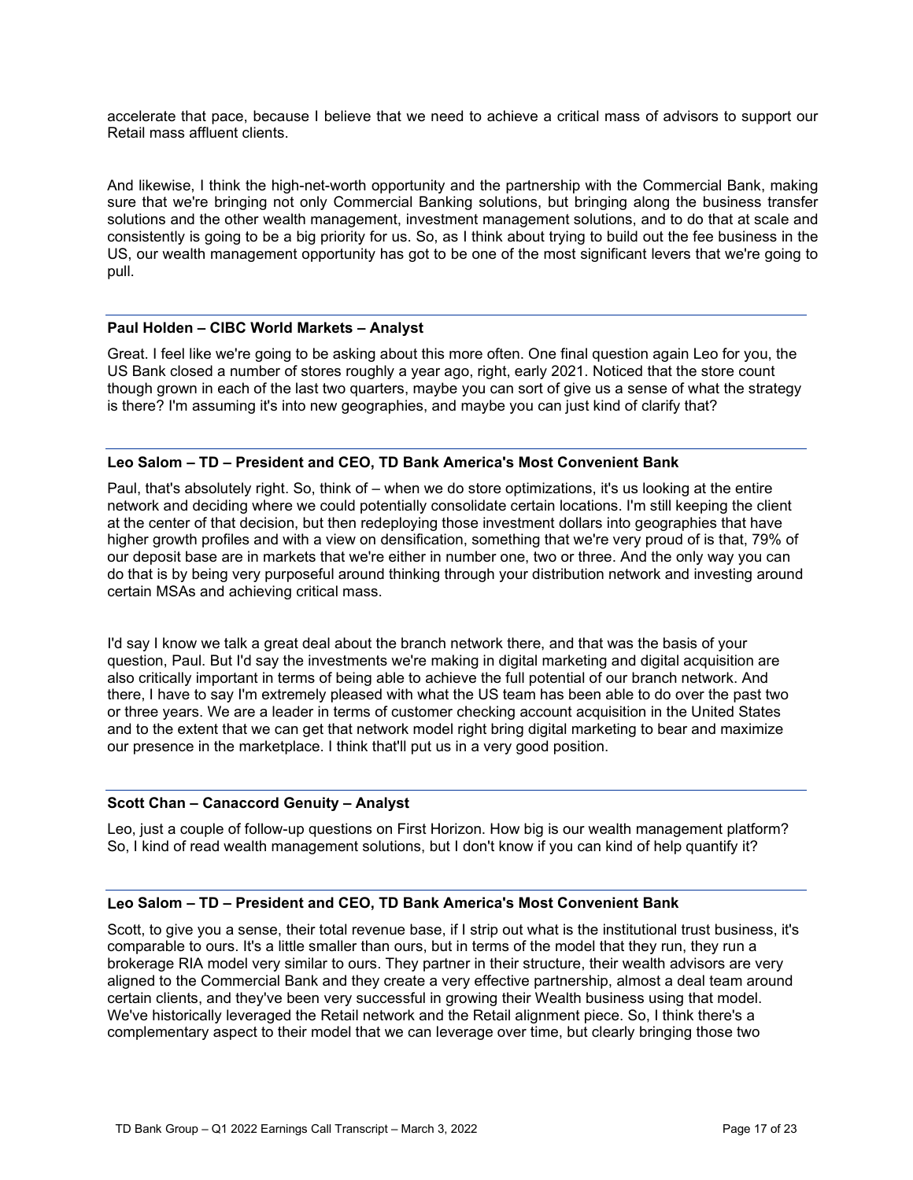accelerate that pace, because I believe that we need to achieve a critical mass of advisors to support our Retail mass affluent clients.

And likewise, I think the high-net-worth opportunity and the partnership with the Commercial Bank, making sure that we're bringing not only Commercial Banking solutions, but bringing along the business transfer solutions and the other wealth management, investment management solutions, and to do that at scale and consistently is going to be a big priority for us. So, as I think about trying to build out the fee business in the US, our wealth management opportunity has got to be one of the most significant levers that we're going to pull.

# **Paul Holden – CIBC World Markets – Analyst**

Great. I feel like we're going to be asking about this more often. One final question again Leo for you, the US Bank closed a number of stores roughly a year ago, right, early 2021. Noticed that the store count though grown in each of the last two quarters, maybe you can sort of give us a sense of what the strategy is there? I'm assuming it's into new geographies, and maybe you can just kind of clarify that?

# **Leo Salom – TD – President and CEO, TD Bank America's Most Convenient Bank**

Paul, that's absolutely right. So, think of – when we do store optimizations, it's us looking at the entire network and deciding where we could potentially consolidate certain locations. I'm still keeping the client at the center of that decision, but then redeploying those investment dollars into geographies that have higher growth profiles and with a view on densification, something that we're very proud of is that, 79% of our deposit base are in markets that we're either in number one, two or three. And the only way you can do that is by being very purposeful around thinking through your distribution network and investing around certain MSAs and achieving critical mass.

I'd say I know we talk a great deal about the branch network there, and that was the basis of your question, Paul. But I'd say the investments we're making in digital marketing and digital acquisition are also critically important in terms of being able to achieve the full potential of our branch network. And there, I have to say I'm extremely pleased with what the US team has been able to do over the past two or three years. We are a leader in terms of customer checking account acquisition in the United States and to the extent that we can get that network model right bring digital marketing to bear and maximize our presence in the marketplace. I think that'll put us in a very good position.

# **Scott Chan – Canaccord Genuity – Analyst**

Leo, just a couple of follow-up questions on First Horizon. How big is our wealth management platform? So, I kind of read wealth management solutions, but I don't know if you can kind of help quantify it?

#### **Leo Salom – TD – President and CEO, TD Bank America's Most Convenient Bank**

Scott, to give you a sense, their total revenue base, if I strip out what is the institutional trust business, it's comparable to ours. It's a little smaller than ours, but in terms of the model that they run, they run a brokerage RIA model very similar to ours. They partner in their structure, their wealth advisors are very aligned to the Commercial Bank and they create a very effective partnership, almost a deal team around certain clients, and they've been very successful in growing their Wealth business using that model. We've historically leveraged the Retail network and the Retail alignment piece. So, I think there's a complementary aspect to their model that we can leverage over time, but clearly bringing those two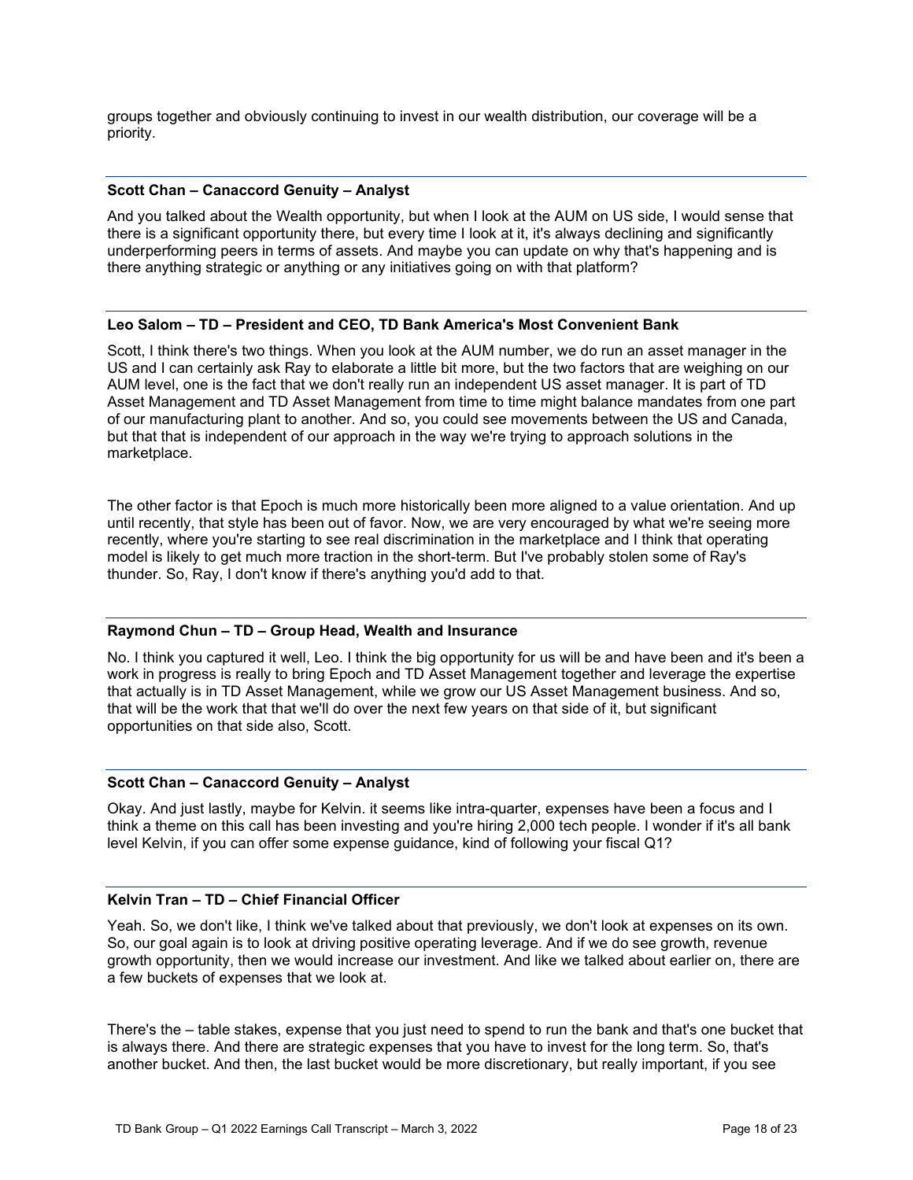groups together and obviously continuing to invest in our wealth distribution, our coverage will be a priority.

# **Scott Chan – Canaccord Genuity – Analyst**

And you talked about the Wealth opportunity, but when I look at the AUM on US side, I would sense that there is a significant opportunity there, but every time I look at it, it's always declining and significantly underperforming peers in terms of assets. And maybe you can update on why that's happening and is there anything strategic or anything or any initiatives going on with that platform?

#### **Leo Salom – TD – President and CEO, TD Bank America's Most Convenient Bank**

Scott, I think there's two things. When you look at the AUM number, we do run an asset manager in the US and I can certainly ask Ray to elaborate a little bit more, but the two factors that are weighing on our AUM level, one is the fact that we don't really run an independent US asset manager. It is part of TD Asset Management and TD Asset Management from time to time might balance mandates from one part of our manufacturing plant to another. And so, you could see movements between the US and Canada, but that that is independent of our approach in the way we're trying to approach solutions in the marketplace.

The other factor is that Epoch is much more historically been more aligned to a value orientation. And up until recently, that style has been out of favor. Now, we are very encouraged by what we're seeing more recently, where you're starting to see real discrimination in the marketplace and I think that operating model is likely to get much more traction in the short-term. But I've probably stolen some of Ray's thunder. So, Ray, I don't know if there's anything you'd add to that.

# **Raymond Chun – TD – Group Head, Wealth and Insurance**

No. I think you captured it well, Leo. I think the big opportunity for us will be and have been and it's been a work in progress is really to bring Epoch and TD Asset Management together and leverage the expertise that actually is in TD Asset Management, while we grow our US Asset Management business. And so, that will be the work that that we'll do over the next few years on that side of it, but significant opportunities on that side also, Scott.

# **Scott Chan – Canaccord Genuity – Analyst**

Okay. And just lastly, maybe for Kelvin. it seems like intra-quarter, expenses have been a focus and I think a theme on this call has been investing and you're hiring 2,000 tech people. I wonder if it's all bank level Kelvin, if you can offer some expense guidance, kind of following your fiscal Q1?

#### **Kelvin Tran – TD – Chief Financial Officer**

Yeah. So, we don't like, I think we've talked about that previously, we don't look at expenses on its own. So, our goal again is to look at driving positive operating leverage. And if we do see growth, revenue growth opportunity, then we would increase our investment. And like we talked about earlier on, there are a few buckets of expenses that we look at.

There's the – table stakes, expense that you just need to spend to run the bank and that's one bucket that is always there. And there are strategic expenses that you have to invest for the long term. So, that's another bucket. And then, the last bucket would be more discretionary, but really important, if you see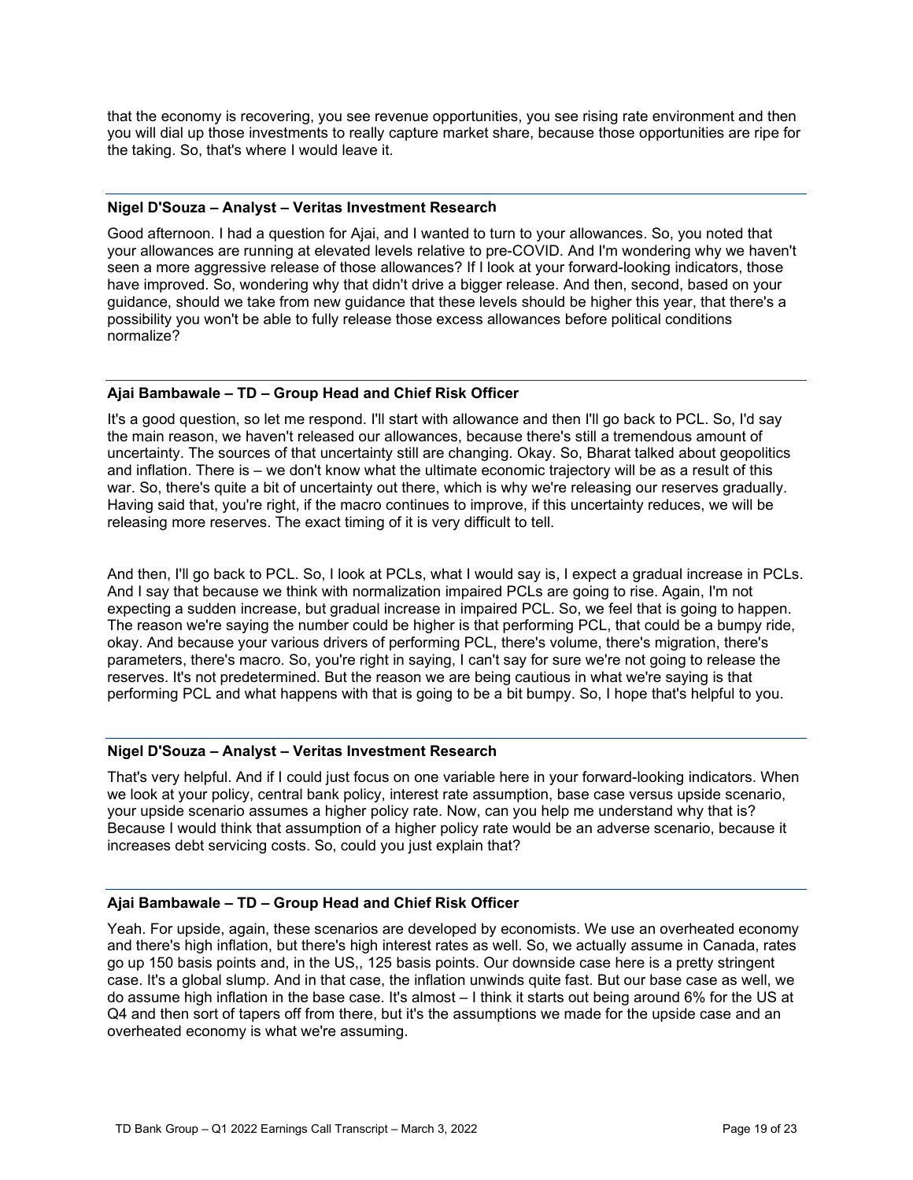that the economy is recovering, you see revenue opportunities, you see rising rate environment and then you will dial up those investments to really capture market share, because those opportunities are ripe for the taking. So, that's where I would leave it.

#### **Nigel D'Souza – Analyst – Veritas Investment Research**

Good afternoon. I had a question for Ajai, and I wanted to turn to your allowances. So, you noted that your allowances are running at elevated levels relative to pre-COVID. And I'm wondering why we haven't seen a more aggressive release of those allowances? If I look at your forward-looking indicators, those have improved. So, wondering why that didn't drive a bigger release. And then, second, based on your guidance, should we take from new guidance that these levels should be higher this year, that there's a possibility you won't be able to fully release those excess allowances before political conditions normalize?

# **Ajai Bambawale – TD – Group Head and Chief Risk Officer**

It's a good question, so let me respond. I'll start with allowance and then I'll go back to PCL. So, I'd say the main reason, we haven't released our allowances, because there's still a tremendous amount of uncertainty. The sources of that uncertainty still are changing. Okay. So, Bharat talked about geopolitics and inflation. There is – we don't know what the ultimate economic trajectory will be as a result of this war. So, there's quite a bit of uncertainty out there, which is why we're releasing our reserves gradually. Having said that, you're right, if the macro continues to improve, if this uncertainty reduces, we will be releasing more reserves. The exact timing of it is very difficult to tell.

And then, I'll go back to PCL. So, I look at PCLs, what I would say is, I expect a gradual increase in PCLs. And I say that because we think with normalization impaired PCLs are going to rise. Again, I'm not expecting a sudden increase, but gradual increase in impaired PCL. So, we feel that is going to happen. The reason we're saying the number could be higher is that performing PCL, that could be a bumpy ride, okay. And because your various drivers of performing PCL, there's volume, there's migration, there's parameters, there's macro. So, you're right in saying, I can't say for sure we're not going to release the reserves. It's not predetermined. But the reason we are being cautious in what we're saying is that performing PCL and what happens with that is going to be a bit bumpy. So, I hope that's helpful to you.

#### **Nigel D'Souza – Analyst – Veritas Investment Research**

That's very helpful. And if I could just focus on one variable here in your forward-looking indicators. When we look at your policy, central bank policy, interest rate assumption, base case versus upside scenario, your upside scenario assumes a higher policy rate. Now, can you help me understand why that is? Because I would think that assumption of a higher policy rate would be an adverse scenario, because it increases debt servicing costs. So, could you just explain that?

# **Ajai Bambawale – TD – Group Head and Chief Risk Officer**

Yeah. For upside, again, these scenarios are developed by economists. We use an overheated economy and there's high inflation, but there's high interest rates as well. So, we actually assume in Canada, rates go up 150 basis points and, in the US,, 125 basis points. Our downside case here is a pretty stringent case. It's a global slump. And in that case, the inflation unwinds quite fast. But our base case as well, we do assume high inflation in the base case. It's almost – I think it starts out being around 6% for the US at Q4 and then sort of tapers off from there, but it's the assumptions we made for the upside case and an overheated economy is what we're assuming.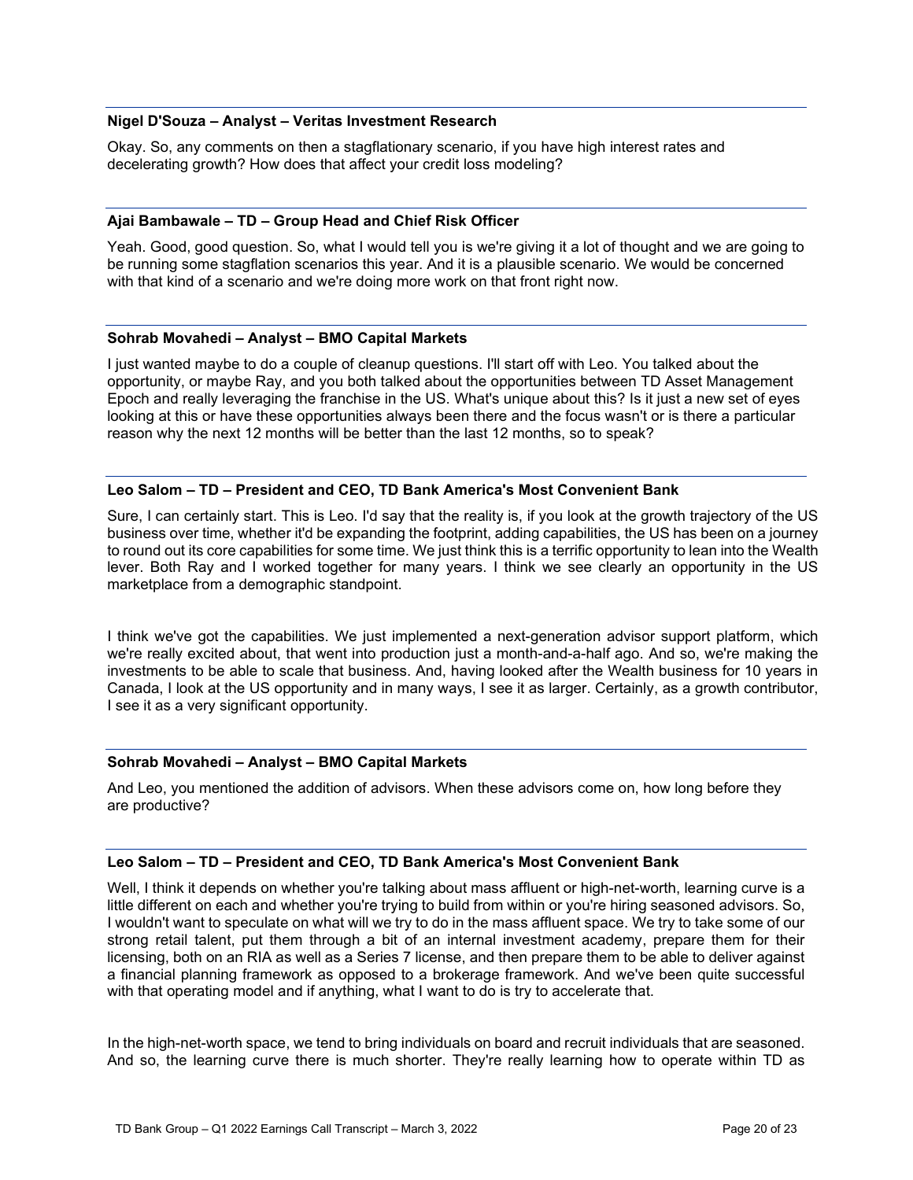#### **Nigel D'Souza – Analyst – Veritas Investment Research**

Okay. So, any comments on then a stagflationary scenario, if you have high interest rates and decelerating growth? How does that affect your credit loss modeling?

#### **Ajai Bambawale – TD – Group Head and Chief Risk Officer**

Yeah. Good, good question. So, what I would tell you is we're giving it a lot of thought and we are going to be running some stagflation scenarios this year. And it is a plausible scenario. We would be concerned with that kind of a scenario and we're doing more work on that front right now.

#### **Sohrab Movahedi – Analyst – BMO Capital Markets**

I just wanted maybe to do a couple of cleanup questions. I'll start off with Leo. You talked about the opportunity, or maybe Ray, and you both talked about the opportunities between TD Asset Management Epoch and really leveraging the franchise in the US. What's unique about this? Is it just a new set of eyes looking at this or have these opportunities always been there and the focus wasn't or is there a particular reason why the next 12 months will be better than the last 12 months, so to speak?

#### **Leo Salom – TD – President and CEO, TD Bank America's Most Convenient Bank**

Sure, I can certainly start. This is Leo. I'd say that the reality is, if you look at the growth trajectory of the US business over time, whether it'd be expanding the footprint, adding capabilities, the US has been on a journey to round out its core capabilities for some time. We just think this is a terrific opportunity to lean into the Wealth lever. Both Ray and I worked together for many years. I think we see clearly an opportunity in the US marketplace from a demographic standpoint.

I think we've got the capabilities. We just implemented a next-generation advisor support platform, which we're really excited about, that went into production just a month-and-a-half ago. And so, we're making the investments to be able to scale that business. And, having looked after the Wealth business for 10 years in Canada, I look at the US opportunity and in many ways, I see it as larger. Certainly, as a growth contributor, I see it as a very significant opportunity.

# **Sohrab Movahedi – Analyst – BMO Capital Markets**

And Leo, you mentioned the addition of advisors. When these advisors come on, how long before they are productive?

#### **Leo Salom – TD – President and CEO, TD Bank America's Most Convenient Bank**

Well, I think it depends on whether you're talking about mass affluent or high-net-worth, learning curve is a little different on each and whether you're trying to build from within or you're hiring seasoned advisors. So, I wouldn't want to speculate on what will we try to do in the mass affluent space. We try to take some of our strong retail talent, put them through a bit of an internal investment academy, prepare them for their licensing, both on an RIA as well as a Series 7 license, and then prepare them to be able to deliver against a financial planning framework as opposed to a brokerage framework. And we've been quite successful with that operating model and if anything, what I want to do is try to accelerate that.

In the high-net-worth space, we tend to bring individuals on board and recruit individuals that are seasoned. And so, the learning curve there is much shorter. They're really learning how to operate within TD as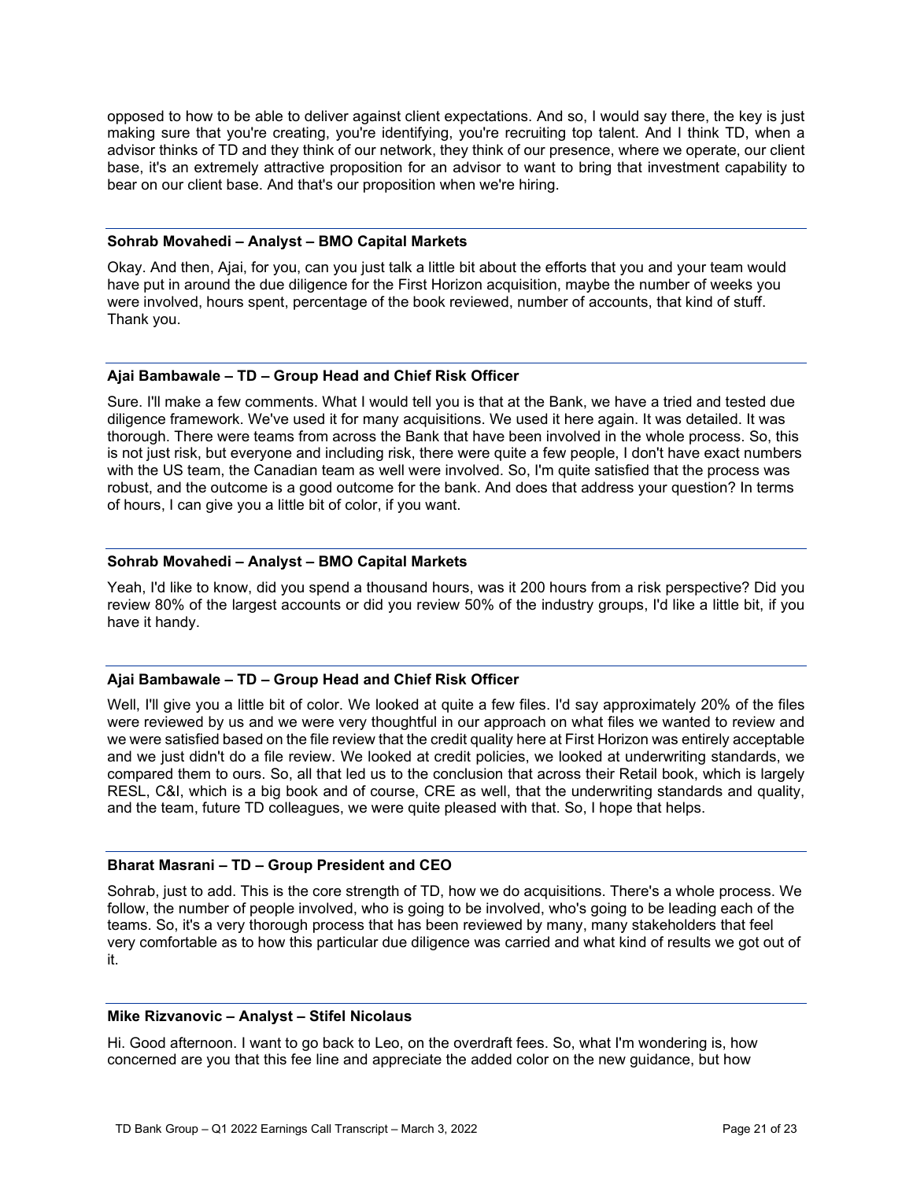opposed to how to be able to deliver against client expectations. And so, I would say there, the key is just making sure that you're creating, you're identifying, you're recruiting top talent. And I think TD, when a advisor thinks of TD and they think of our network, they think of our presence, where we operate, our client base, it's an extremely attractive proposition for an advisor to want to bring that investment capability to bear on our client base. And that's our proposition when we're hiring.

### **Sohrab Movahedi – Analyst – BMO Capital Markets**

Okay. And then, Ajai, for you, can you just talk a little bit about the efforts that you and your team would have put in around the due diligence for the First Horizon acquisition, maybe the number of weeks you were involved, hours spent, percentage of the book reviewed, number of accounts, that kind of stuff. Thank you.

# **Ajai Bambawale – TD – Group Head and Chief Risk Officer**

Sure. I'll make a few comments. What I would tell you is that at the Bank, we have a tried and tested due diligence framework. We've used it for many acquisitions. We used it here again. It was detailed. It was thorough. There were teams from across the Bank that have been involved in the whole process. So, this is not just risk, but everyone and including risk, there were quite a few people, I don't have exact numbers with the US team, the Canadian team as well were involved. So, I'm quite satisfied that the process was robust, and the outcome is a good outcome for the bank. And does that address your question? In terms of hours, I can give you a little bit of color, if you want.

#### **Sohrab Movahedi – Analyst – BMO Capital Markets**

Yeah, I'd like to know, did you spend a thousand hours, was it 200 hours from a risk perspective? Did you review 80% of the largest accounts or did you review 50% of the industry groups, I'd like a little bit, if you have it handy.

#### **Ajai Bambawale – TD – Group Head and Chief Risk Officer**

Well, I'll give you a little bit of color. We looked at quite a few files. I'd say approximately 20% of the files were reviewed by us and we were very thoughtful in our approach on what files we wanted to review and we were satisfied based on the file review that the credit quality here at First Horizon was entirely acceptable and we just didn't do a file review. We looked at credit policies, we looked at underwriting standards, we compared them to ours. So, all that led us to the conclusion that across their Retail book, which is largely RESL, C&I, which is a big book and of course, CRE as well, that the underwriting standards and quality, and the team, future TD colleagues, we were quite pleased with that. So, I hope that helps.

# **Bharat Masrani – TD – Group President and CEO**

Sohrab, just to add. This is the core strength of TD, how we do acquisitions. There's a whole process. We follow, the number of people involved, who is going to be involved, who's going to be leading each of the teams. So, it's a very thorough process that has been reviewed by many, many stakeholders that feel very comfortable as to how this particular due diligence was carried and what kind of results we got out of it.

#### **Mike Rizvanovic – Analyst – Stifel Nicolaus**

Hi. Good afternoon. I want to go back to Leo, on the overdraft fees. So, what I'm wondering is, how concerned are you that this fee line and appreciate the added color on the new guidance, but how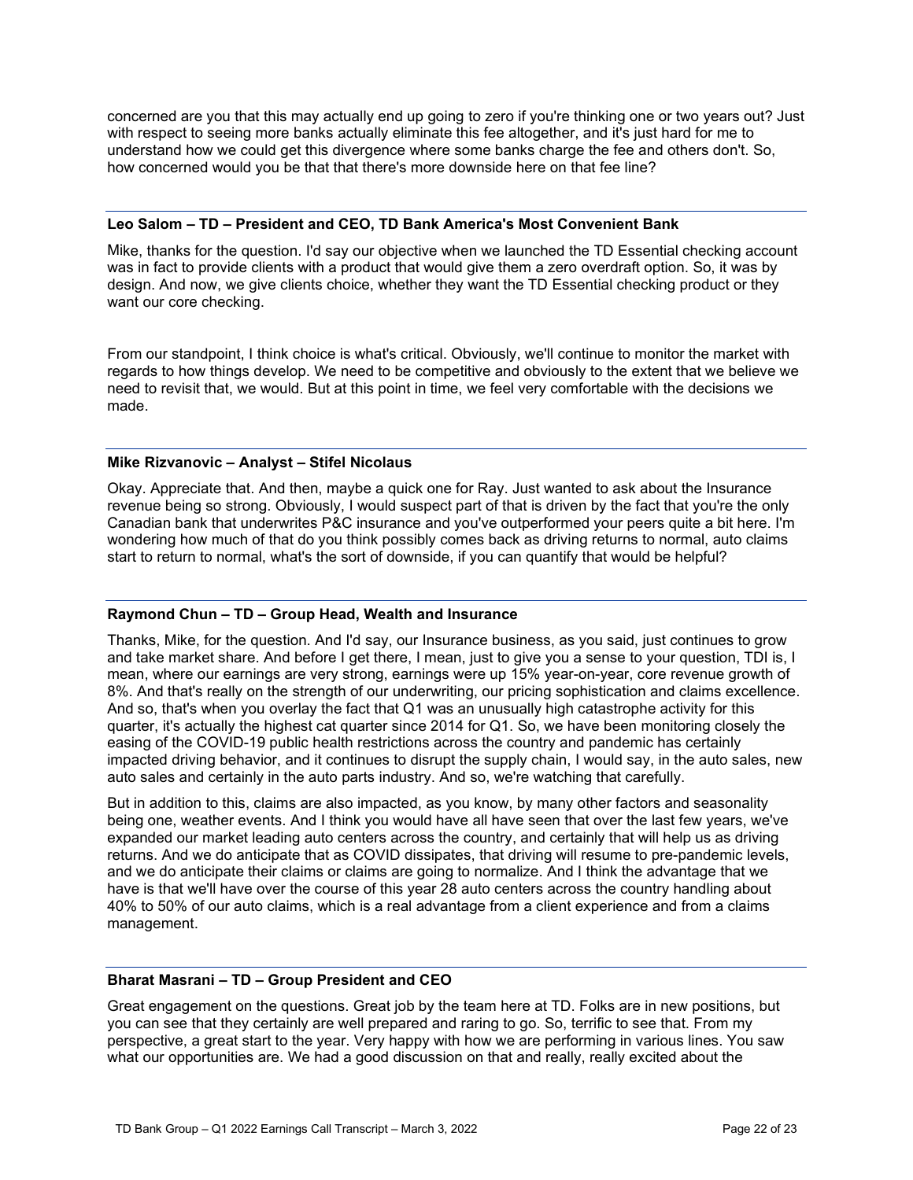concerned are you that this may actually end up going to zero if you're thinking one or two years out? Just with respect to seeing more banks actually eliminate this fee altogether, and it's just hard for me to understand how we could get this divergence where some banks charge the fee and others don't. So, how concerned would you be that that there's more downside here on that fee line?

#### **Leo Salom – TD – President and CEO, TD Bank America's Most Convenient Bank**

Mike, thanks for the question. I'd say our objective when we launched the TD Essential checking account was in fact to provide clients with a product that would give them a zero overdraft option. So, it was by design. And now, we give clients choice, whether they want the TD Essential checking product or they want our core checking.

From our standpoint, I think choice is what's critical. Obviously, we'll continue to monitor the market with regards to how things develop. We need to be competitive and obviously to the extent that we believe we need to revisit that, we would. But at this point in time, we feel very comfortable with the decisions we made.

#### **Mike Rizvanovic – Analyst – Stifel Nicolaus**

Okay. Appreciate that. And then, maybe a quick one for Ray. Just wanted to ask about the Insurance revenue being so strong. Obviously, I would suspect part of that is driven by the fact that you're the only Canadian bank that underwrites P&C insurance and you've outperformed your peers quite a bit here. I'm wondering how much of that do you think possibly comes back as driving returns to normal, auto claims start to return to normal, what's the sort of downside, if you can quantify that would be helpful?

# **Raymond Chun – TD – Group Head, Wealth and Insurance**

Thanks, Mike, for the question. And I'd say, our Insurance business, as you said, just continues to grow and take market share. And before I get there, I mean, just to give you a sense to your question, TDI is, I mean, where our earnings are very strong, earnings were up 15% year-on-year, core revenue growth of 8%. And that's really on the strength of our underwriting, our pricing sophistication and claims excellence. And so, that's when you overlay the fact that Q1 was an unusually high catastrophe activity for this quarter, it's actually the highest cat quarter since 2014 for Q1. So, we have been monitoring closely the easing of the COVID-19 public health restrictions across the country and pandemic has certainly impacted driving behavior, and it continues to disrupt the supply chain, I would say, in the auto sales, new auto sales and certainly in the auto parts industry. And so, we're watching that carefully.

But in addition to this, claims are also impacted, as you know, by many other factors and seasonality being one, weather events. And I think you would have all have seen that over the last few years, we've expanded our market leading auto centers across the country, and certainly that will help us as driving returns. And we do anticipate that as COVID dissipates, that driving will resume to pre-pandemic levels, and we do anticipate their claims or claims are going to normalize. And I think the advantage that we have is that we'll have over the course of this year 28 auto centers across the country handling about 40% to 50% of our auto claims, which is a real advantage from a client experience and from a claims management.

# **Bharat Masrani – TD – Group President and CEO**

Great engagement on the questions. Great job by the team here at TD. Folks are in new positions, but you can see that they certainly are well prepared and raring to go. So, terrific to see that. From my perspective, a great start to the year. Very happy with how we are performing in various lines. You saw what our opportunities are. We had a good discussion on that and really, really excited about the